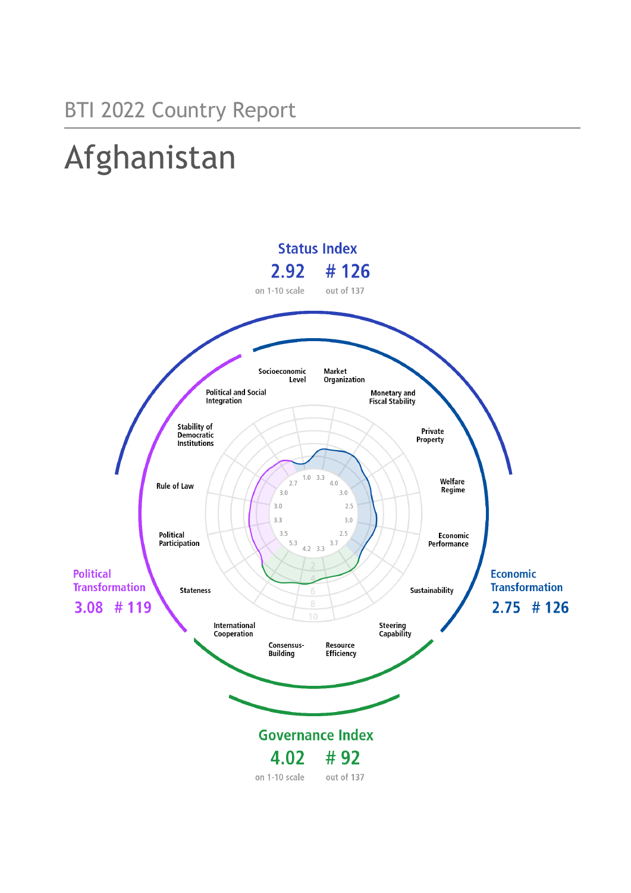# Afghanistan

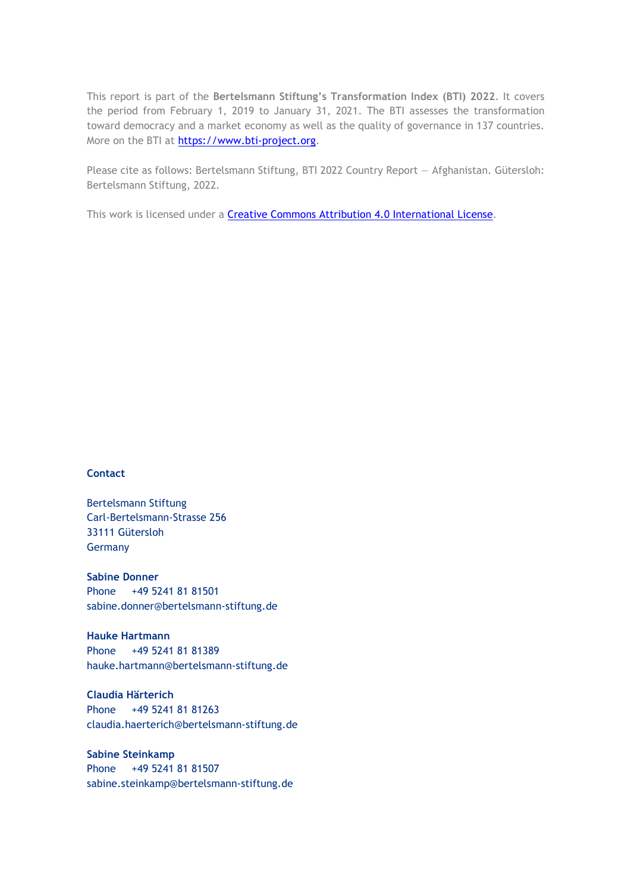This report is part of the **Bertelsmann Stiftung's Transformation Index (BTI) 2022**. It covers the period from February 1, 2019 to January 31, 2021. The BTI assesses the transformation toward democracy and a market economy as well as the quality of governance in 137 countries. More on the BTI at [https://www.bti-project.org.](https://www.bti-project.org/)

Please cite as follows: Bertelsmann Stiftung, BTI 2022 Country Report — Afghanistan. Gütersloh: Bertelsmann Stiftung, 2022.

This work is licensed under a **Creative Commons Attribution 4.0 International License**.

### **Contact**

Bertelsmann Stiftung Carl-Bertelsmann-Strasse 256 33111 Gütersloh Germany

**Sabine Donner** Phone +49 5241 81 81501 sabine.donner@bertelsmann-stiftung.de

**Hauke Hartmann** Phone +49 5241 81 81389 hauke.hartmann@bertelsmann-stiftung.de

**Claudia Härterich** Phone +49 5241 81 81263 claudia.haerterich@bertelsmann-stiftung.de

### **Sabine Steinkamp** Phone +49 5241 81 81507 sabine.steinkamp@bertelsmann-stiftung.de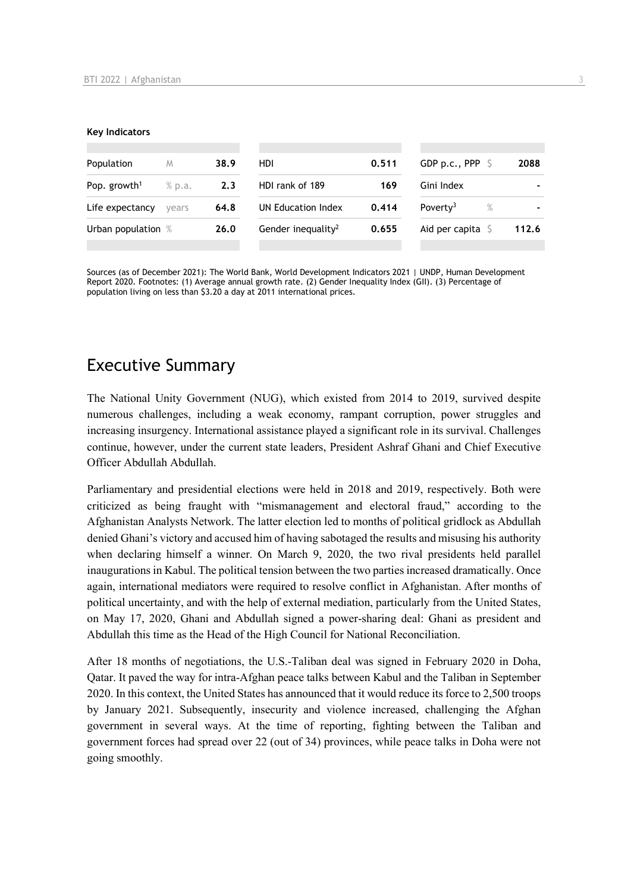#### **Key Indicators**

| Population               | M      | 38.9 | HDI.                           | 0.511 | GDP p.c., PPP $\ S$          | 2088  |
|--------------------------|--------|------|--------------------------------|-------|------------------------------|-------|
| Pop. growth <sup>1</sup> | % p.a. | 2.3  | HDI rank of 189                | 169   | Gini Index                   |       |
| Life expectancy          | vears  | 64.8 | UN Education Index             | 0.414 | Poverty <sup>3</sup><br>$\%$ |       |
| Urban population %       |        | 26.0 | Gender inequality <sup>2</sup> | 0.655 | Aid per capita $\sqrt{5}$    | 112.6 |
|                          |        |      |                                |       |                              |       |

Sources (as of December 2021): The World Bank, World Development Indicators 2021 | UNDP, Human Development Report 2020. Footnotes: (1) Average annual growth rate. (2) Gender Inequality Index (GII). (3) Percentage of population living on less than \$3.20 a day at 2011 international prices.

# Executive Summary

The National Unity Government (NUG), which existed from 2014 to 2019, survived despite numerous challenges, including a weak economy, rampant corruption, power struggles and increasing insurgency. International assistance played a significant role in its survival. Challenges continue, however, under the current state leaders, President Ashraf Ghani and Chief Executive Officer Abdullah Abdullah.

Parliamentary and presidential elections were held in 2018 and 2019, respectively. Both were criticized as being fraught with "mismanagement and electoral fraud," according to the Afghanistan Analysts Network. The latter election led to months of political gridlock as Abdullah denied Ghani's victory and accused him of having sabotaged the results and misusing his authority when declaring himself a winner. On March 9, 2020, the two rival presidents held parallel inaugurations in Kabul. The political tension between the two parties increased dramatically. Once again, international mediators were required to resolve conflict in Afghanistan. After months of political uncertainty, and with the help of external mediation, particularly from the United States, on May 17, 2020, Ghani and Abdullah signed a power-sharing deal: Ghani as president and Abdullah this time as the Head of the High Council for National Reconciliation.

After 18 months of negotiations, the U.S.-Taliban deal was signed in February 2020 in Doha, Qatar. It paved the way for intra-Afghan peace talks between Kabul and the Taliban in September 2020. In this context, the United States has announced that it would reduce its force to 2,500 troops by January 2021. Subsequently, insecurity and violence increased, challenging the Afghan government in several ways. At the time of reporting, fighting between the Taliban and government forces had spread over 22 (out of 34) provinces, while peace talks in Doha were not going smoothly.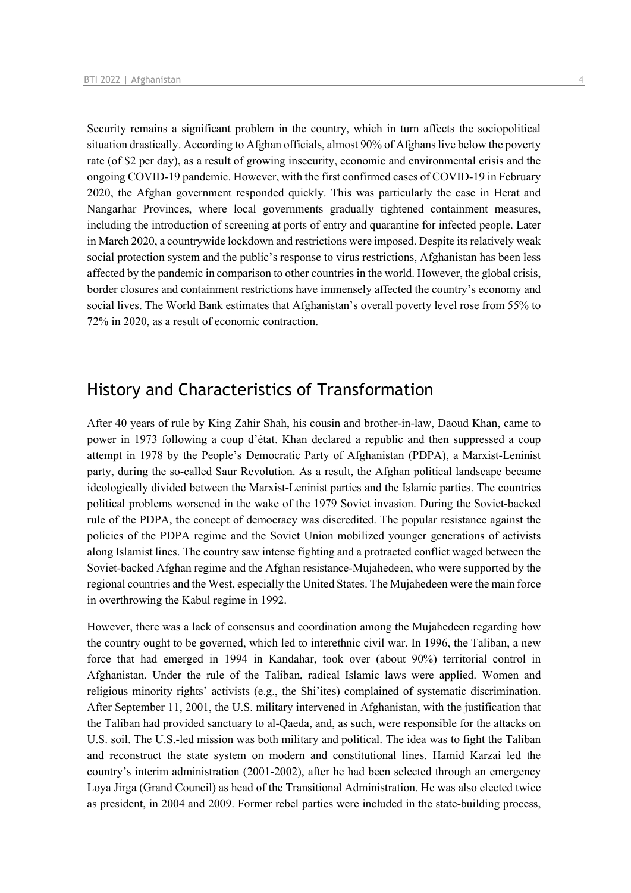Security remains a significant problem in the country, which in turn affects the sociopolitical situation drastically. According to Afghan officials, almost 90% of Afghans live below the poverty rate (of \$2 per day), as a result of growing insecurity, economic and environmental crisis and the ongoing COVID-19 pandemic. However, with the first confirmed cases of COVID-19 in February 2020, the Afghan government responded quickly. This was particularly the case in Herat and Nangarhar Provinces, where local governments gradually tightened containment measures, including the introduction of screening at ports of entry and quarantine for infected people. Later in March 2020, a countrywide lockdown and restrictions were imposed. Despite its relatively weak social protection system and the public's response to virus restrictions, Afghanistan has been less affected by the pandemic in comparison to other countries in the world. However, the global crisis, border closures and containment restrictions have immensely affected the country's economy and social lives. The World Bank estimates that Afghanistan's overall poverty level rose from 55% to 72% in 2020, as a result of economic contraction.

# History and Characteristics of Transformation

After 40 years of rule by King Zahir Shah, his cousin and brother-in-law, Daoud Khan, came to power in 1973 following a coup d'état. Khan declared a republic and then suppressed a coup attempt in 1978 by the People's Democratic Party of Afghanistan (PDPA), a Marxist-Leninist party, during the so-called Saur Revolution. As a result, the Afghan political landscape became ideologically divided between the Marxist-Leninist parties and the Islamic parties. The countries political problems worsened in the wake of the 1979 Soviet invasion. During the Soviet-backed rule of the PDPA, the concept of democracy was discredited. The popular resistance against the policies of the PDPA regime and the Soviet Union mobilized younger generations of activists along Islamist lines. The country saw intense fighting and a protracted conflict waged between the Soviet-backed Afghan regime and the Afghan resistance-Mujahedeen, who were supported by the regional countries and the West, especially the United States. The Mujahedeen were the main force in overthrowing the Kabul regime in 1992.

However, there was a lack of consensus and coordination among the Mujahedeen regarding how the country ought to be governed, which led to interethnic civil war. In 1996, the Taliban, a new force that had emerged in 1994 in Kandahar, took over (about 90%) territorial control in Afghanistan. Under the rule of the Taliban, radical Islamic laws were applied. Women and religious minority rights' activists (e.g., the Shi'ites) complained of systematic discrimination. After September 11, 2001, the U.S. military intervened in Afghanistan, with the justification that the Taliban had provided sanctuary to al-Qaeda, and, as such, were responsible for the attacks on U.S. soil. The U.S.-led mission was both military and political. The idea was to fight the Taliban and reconstruct the state system on modern and constitutional lines. Hamid Karzai led the country's interim administration (2001-2002), after he had been selected through an emergency Loya Jirga (Grand Council) as head of the Transitional Administration. He was also elected twice as president, in 2004 and 2009. Former rebel parties were included in the state-building process,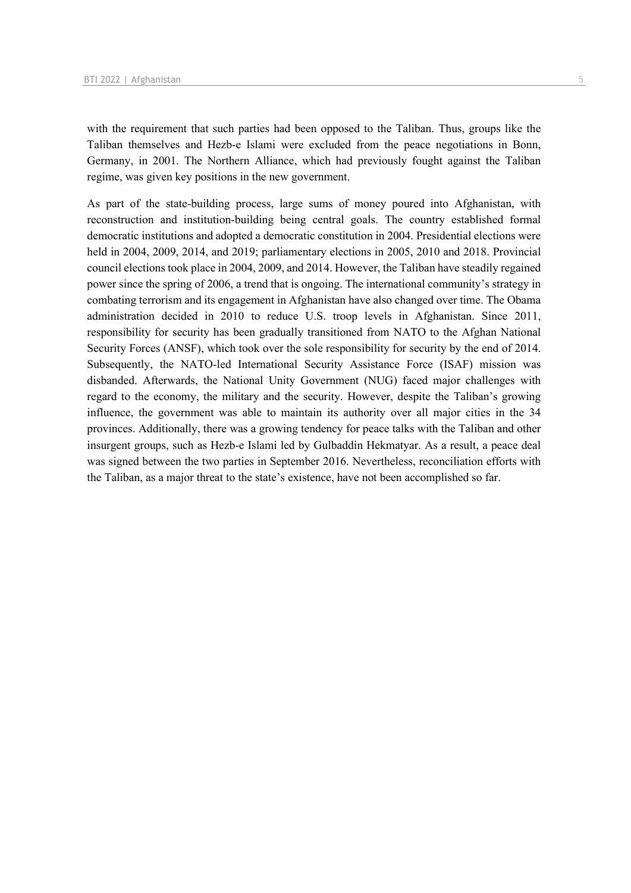with the requirement that such parties had been opposed to the Taliban. Thus, groups like the Taliban themselves and Hezb-e Islami were excluded from the peace negotiations in Bonn, Germany, in 2001. The Northern Alliance, which had previously fought against the Taliban regime, was given key positions in the new government.

As part of the state-building process, large sums of money poured into Afghanistan, with reconstruction and institution-building being central goals. The country established formal democratic institutions and adopted a democratic constitution in 2004. Presidential elections were held in 2004, 2009, 2014, and 2019; parliamentary elections in 2005, 2010 and 2018. Provincial council elections took place in 2004, 2009, and 2014. However, the Taliban have steadily regained power since the spring of 2006, a trend that is ongoing. The international community's strategy in combating terrorism and its engagement in Afghanistan have also changed over time. The Obama administration decided in 2010 to reduce U.S. troop levels in Afghanistan. Since 2011, responsibility for security has been gradually transitioned from NATO to the Afghan National Security Forces (ANSF), which took over the sole responsibility for security by the end of 2014. Subsequently, the NATO-led International Security Assistance Force (ISAF) mission was disbanded. Afterwards, the National Unity Government (NUG) faced major challenges with regard to the economy, the military and the security. However, despite the Taliban's growing influence, the government was able to maintain its authority over all major cities in the 34 provinces. Additionally, there was a growing tendency for peace talks with the Taliban and other insurgent groups, such as Hezb-e Islami led by Gulbaddin Hekmatyar. As a result, a peace deal was signed between the two parties in September 2016. Nevertheless, reconciliation efforts with the Taliban, as a major threat to the state's existence, have not been accomplished so far.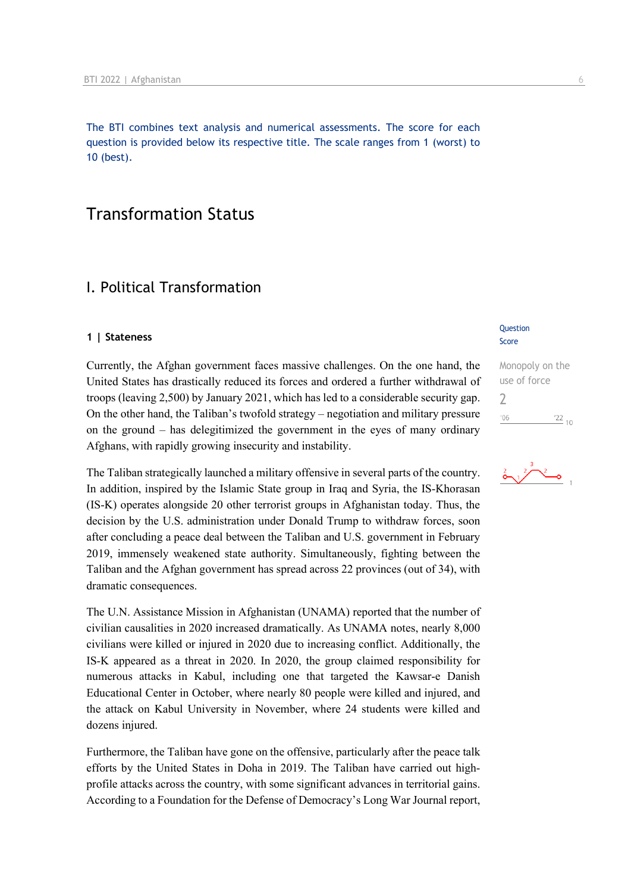The BTI combines text analysis and numerical assessments. The score for each question is provided below its respective title. The scale ranges from 1 (worst) to 10 (best).

# Transformation Status

# I. Political Transformation

### **1 | Stateness**

Currently, the Afghan government faces massive challenges. On the one hand, the United States has drastically reduced its forces and ordered a further withdrawal of troops (leaving 2,500) by January 2021, which has led to a considerable security gap. On the other hand, the Taliban's twofold strategy – negotiation and military pressure on the ground – has delegitimized the government in the eyes of many ordinary Afghans, with rapidly growing insecurity and instability.

The Taliban strategically launched a military offensive in several parts of the country. In addition, inspired by the Islamic State group in Iraq and Syria, the IS-Khorasan (IS-K) operates alongside 20 other terrorist groups in Afghanistan today. Thus, the decision by the U.S. administration under Donald Trump to withdraw forces, soon after concluding a peace deal between the Taliban and U.S. government in February 2019, immensely weakened state authority. Simultaneously, fighting between the Taliban and the Afghan government has spread across 22 provinces (out of 34), with dramatic consequences.

The U.N. Assistance Mission in Afghanistan (UNAMA) reported that the number of civilian causalities in 2020 increased dramatically. As UNAMA notes, nearly 8,000 civilians were killed or injured in 2020 due to increasing conflict. Additionally, the IS-K appeared as a threat in 2020. In 2020, the group claimed responsibility for numerous attacks in Kabul, including one that targeted the Kawsar-e Danish Educational Center in October, where nearly 80 people were killed and injured, and the attack on Kabul University in November, where 24 students were killed and dozens injured.

Furthermore, the Taliban have gone on the offensive, particularly after the peace talk efforts by the United States in Doha in 2019. The Taliban have carried out highprofile attacks across the country, with some significant advances in territorial gains. According to a Foundation for the Defense of Democracy's Long War Journal report,

### **Question** Score

Monopoly on the use of force  $\overline{\phantom{0}}$  $\frac{22}{10}$  $106$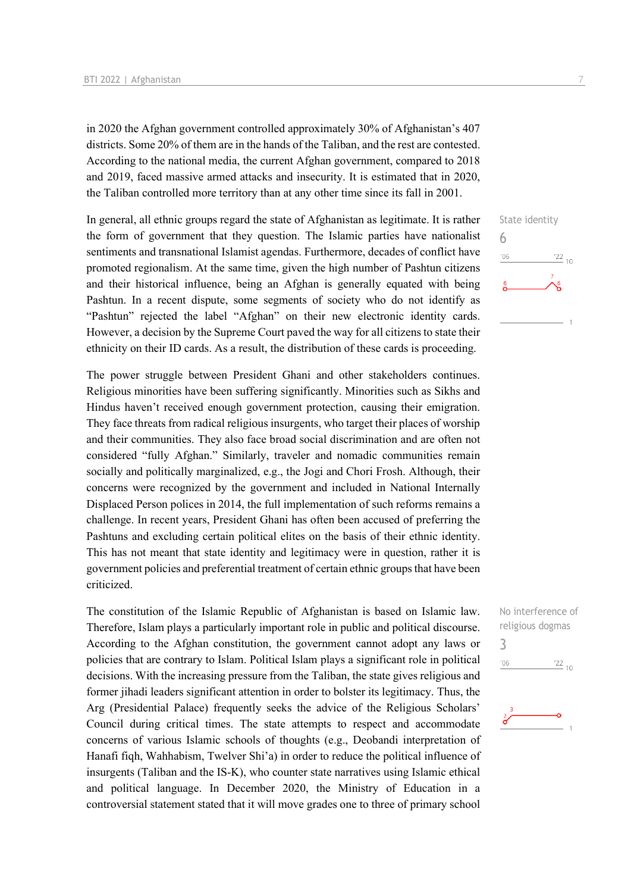in 2020 the Afghan government controlled approximately 30% of Afghanistan's 407 districts. Some 20% of them are in the hands of the Taliban, and the rest are contested. According to the national media, the current Afghan government, compared to 2018 and 2019, faced massive armed attacks and insecurity. It is estimated that in 2020, the Taliban controlled more territory than at any other time since its fall in 2001.

In general, all ethnic groups regard the state of Afghanistan as legitimate. It is rather the form of government that they question. The Islamic parties have nationalist sentiments and transnational Islamist agendas. Furthermore, decades of conflict have promoted regionalism. At the same time, given the high number of Pashtun citizens and their historical influence, being an Afghan is generally equated with being Pashtun. In a recent dispute, some segments of society who do not identify as "Pashtun" rejected the label "Afghan" on their new electronic identity cards. However, a decision by the Supreme Court paved the way for all citizens to state their ethnicity on their ID cards. As a result, the distribution of these cards is proceeding.

The power struggle between President Ghani and other stakeholders continues. Religious minorities have been suffering significantly. Minorities such as Sikhs and Hindus haven't received enough government protection, causing their emigration. They face threats from radical religious insurgents, who target their places of worship and their communities. They also face broad social discrimination and are often not considered "fully Afghan." Similarly, traveler and nomadic communities remain socially and politically marginalized, e.g., the Jogi and Chori Frosh. Although, their concerns were recognized by the government and included in National Internally Displaced Person polices in 2014, the full implementation of such reforms remains a challenge. In recent years, President Ghani has often been accused of preferring the Pashtuns and excluding certain political elites on the basis of their ethnic identity. This has not meant that state identity and legitimacy were in question, rather it is government policies and preferential treatment of certain ethnic groups that have been criticized.

The constitution of the Islamic Republic of Afghanistan is based on Islamic law. Therefore, Islam plays a particularly important role in public and political discourse. According to the Afghan constitution, the government cannot adopt any laws or policies that are contrary to Islam. Political Islam plays a significant role in political decisions. With the increasing pressure from the Taliban, the state gives religious and former jihadi leaders significant attention in order to bolster its legitimacy. Thus, the Arg (Presidential Palace) frequently seeks the advice of the Religious Scholars' Council during critical times. The state attempts to respect and accommodate concerns of various Islamic schools of thoughts (e.g., Deobandi interpretation of Hanafi fiqh, Wahhabism, Twelver Shi'a) in order to reduce the political influence of insurgents (Taliban and the IS-K), who counter state narratives using Islamic ethical and political language. In December 2020, the Ministry of Education in a controversial statement stated that it will move grades one to three of primary school





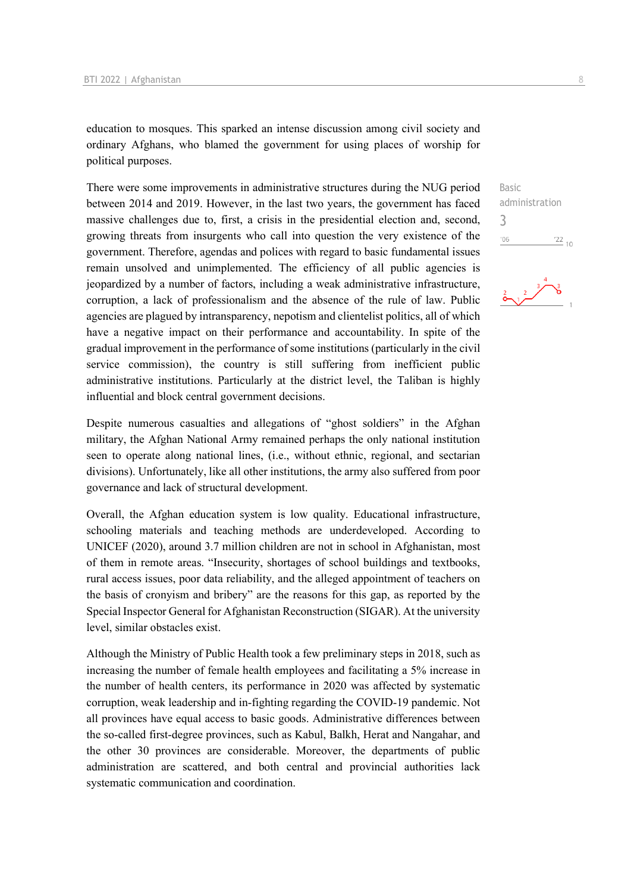education to mosques. This sparked an intense discussion among civil society and ordinary Afghans, who blamed the government for using places of worship for political purposes.

There were some improvements in administrative structures during the NUG period between 2014 and 2019. However, in the last two years, the government has faced massive challenges due to, first, a crisis in the presidential election and, second, growing threats from insurgents who call into question the very existence of the government. Therefore, agendas and polices with regard to basic fundamental issues remain unsolved and unimplemented. The efficiency of all public agencies is jeopardized by a number of factors, including a weak administrative infrastructure, corruption, a lack of professionalism and the absence of the rule of law. Public agencies are plagued by intransparency, nepotism and clientelist politics, all of which have a negative impact on their performance and accountability. In spite of the gradual improvement in the performance of some institutions (particularly in the civil service commission), the country is still suffering from inefficient public administrative institutions. Particularly at the district level, the Taliban is highly influential and block central government decisions.

Despite numerous casualties and allegations of "ghost soldiers" in the Afghan military, the Afghan National Army remained perhaps the only national institution seen to operate along national lines, (i.e., without ethnic, regional, and sectarian divisions). Unfortunately, like all other institutions, the army also suffered from poor governance and lack of structural development.

Overall, the Afghan education system is low quality. Educational infrastructure, schooling materials and teaching methods are underdeveloped. According to UNICEF (2020), around 3.7 million children are not in school in Afghanistan, most of them in remote areas. "Insecurity, shortages of school buildings and textbooks, rural access issues, poor data reliability, and the alleged appointment of teachers on the basis of cronyism and bribery" are the reasons for this gap, as reported by the Special Inspector General for Afghanistan Reconstruction (SIGAR). At the university level, similar obstacles exist.

Although the Ministry of Public Health took a few preliminary steps in 2018, such as increasing the number of female health employees and facilitating a 5% increase in the number of health centers, its performance in 2020 was affected by systematic corruption, weak leadership and in-fighting regarding the COVID-19 pandemic. Not all provinces have equal access to basic goods. Administrative differences between the so-called first-degree provinces, such as Kabul, Balkh, Herat and Nangahar, and the other 30 provinces are considerable. Moreover, the departments of public administration are scattered, and both central and provincial authorities lack systematic communication and coordination.

Basic administration 3 $06'$  $\frac{22}{10}$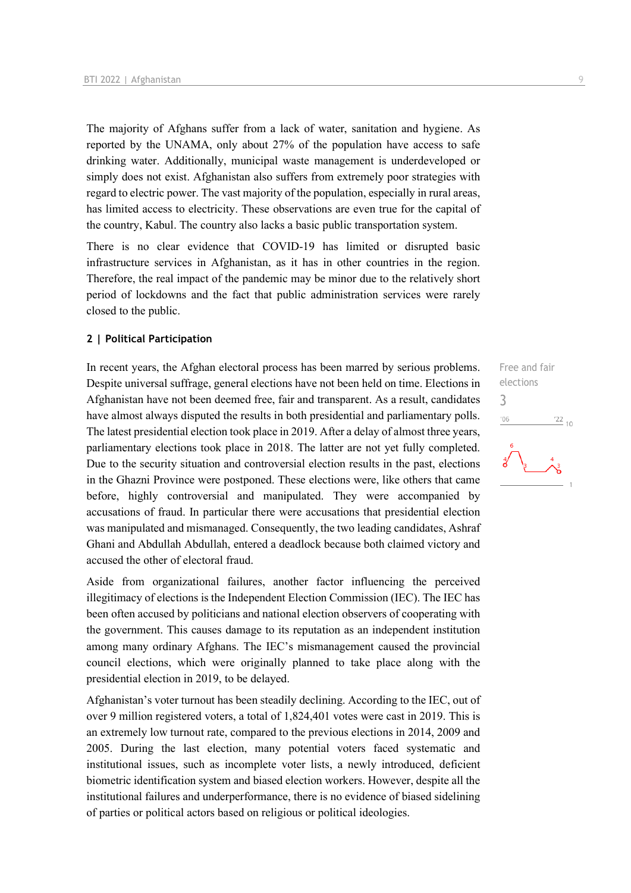The majority of Afghans suffer from a lack of water, sanitation and hygiene. As reported by the UNAMA, only about 27% of the population have access to safe drinking water. Additionally, municipal waste management is underdeveloped or simply does not exist. Afghanistan also suffers from extremely poor strategies with regard to electric power. The vast majority of the population, especially in rural areas, has limited access to electricity. These observations are even true for the capital of the country, Kabul. The country also lacks a basic public transportation system.

There is no clear evidence that COVID-19 has limited or disrupted basic infrastructure services in Afghanistan, as it has in other countries in the region. Therefore, the real impact of the pandemic may be minor due to the relatively short period of lockdowns and the fact that public administration services were rarely closed to the public.

### **2 | Political Participation**

In recent years, the Afghan electoral process has been marred by serious problems. Despite universal suffrage, general elections have not been held on time. Elections in Afghanistan have not been deemed free, fair and transparent. As a result, candidates have almost always disputed the results in both presidential and parliamentary polls. The latest presidential election took place in 2019. After a delay of almost three years, parliamentary elections took place in 2018. The latter are not yet fully completed. Due to the security situation and controversial election results in the past, elections in the Ghazni Province were postponed. These elections were, like others that came before, highly controversial and manipulated. They were accompanied by accusations of fraud. In particular there were accusations that presidential election was manipulated and mismanaged. Consequently, the two leading candidates, Ashraf Ghani and Abdullah Abdullah, entered a deadlock because both claimed victory and accused the other of electoral fraud.

Aside from organizational failures, another factor influencing the perceived illegitimacy of elections is the Independent Election Commission (IEC). The IEC has been often accused by politicians and national election observers of cooperating with the government. This causes damage to its reputation as an independent institution among many ordinary Afghans. The IEC's mismanagement caused the provincial council elections, which were originally planned to take place along with the presidential election in 2019, to be delayed.

Afghanistan's voter turnout has been steadily declining. According to the IEC, out of over 9 million registered voters, a total of 1,824,401 votes were cast in 2019. This is an extremely low turnout rate, compared to the previous elections in 2014, 2009 and 2005. During the last election, many potential voters faced systematic and institutional issues, such as incomplete voter lists, a newly introduced, deficient biometric identification system and biased election workers. However, despite all the institutional failures and underperformance, there is no evidence of biased sidelining of parties or political actors based on religious or political ideologies.

Free and fair elections 3 $\frac{22}{10}$  $'06$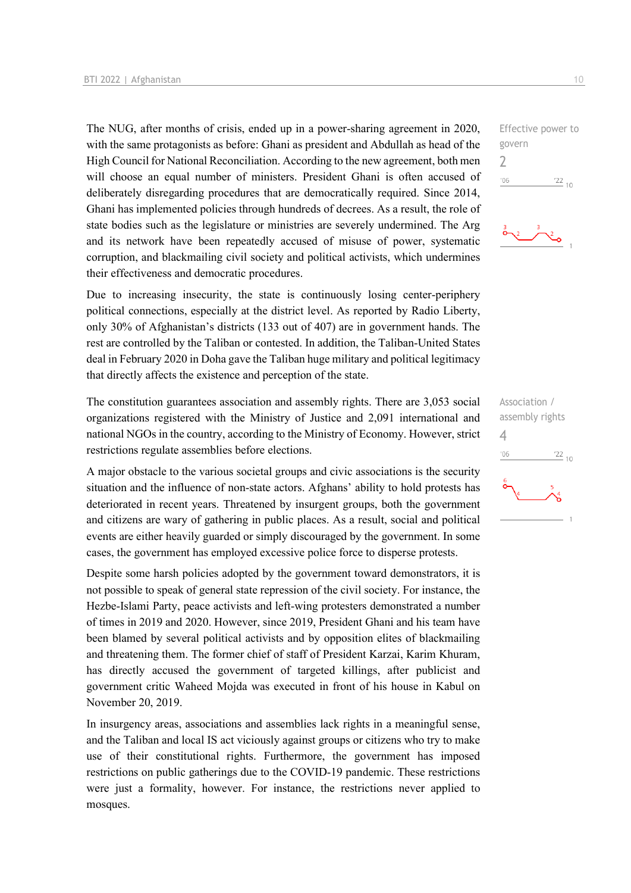The NUG, after months of crisis, ended up in a power-sharing agreement in 2020, with the same protagonists as before: Ghani as president and Abdullah as head of the High Council for National Reconciliation. According to the new agreement, both men will choose an equal number of ministers. President Ghani is often accused of deliberately disregarding procedures that are democratically required. Since 2014, Ghani has implemented policies through hundreds of decrees. As a result, the role of state bodies such as the legislature or ministries are severely undermined. The Arg and its network have been repeatedly accused of misuse of power, systematic corruption, and blackmailing civil society and political activists, which undermines their effectiveness and democratic procedures.

Due to increasing insecurity, the state is continuously losing center-periphery political connections, especially at the district level. As reported by Radio Liberty, only 30% of Afghanistan's districts (133 out of 407) are in government hands. The rest are controlled by the Taliban or contested. In addition, the Taliban-United States deal in February 2020 in Doha gave the Taliban huge military and political legitimacy that directly affects the existence and perception of the state.

The constitution guarantees association and assembly rights. There are 3,053 social organizations registered with the Ministry of Justice and 2,091 international and national NGOs in the country, according to the Ministry of Economy. However, strict restrictions regulate assemblies before elections.

A major obstacle to the various societal groups and civic associations is the security situation and the influence of non-state actors. Afghans' ability to hold protests has deteriorated in recent years. Threatened by insurgent groups, both the government and citizens are wary of gathering in public places. As a result, social and political events are either heavily guarded or simply discouraged by the government. In some cases, the government has employed excessive police force to disperse protests.

Despite some harsh policies adopted by the government toward demonstrators, it is not possible to speak of general state repression of the civil society. For instance, the Hezbe-Islami Party, peace activists and left-wing protesters demonstrated a number of times in 2019 and 2020. However, since 2019, President Ghani and his team have been blamed by several political activists and by opposition elites of blackmailing and threatening them. The former chief of staff of President Karzai, Karim Khuram, has directly accused the government of targeted killings, after publicist and government critic Waheed Mojda was executed in front of his house in Kabul on November 20, 2019.

In insurgency areas, associations and assemblies lack rights in a meaningful sense, and the Taliban and local IS act viciously against groups or citizens who try to make use of their constitutional rights. Furthermore, the government has imposed restrictions on public gatherings due to the COVID-19 pandemic. These restrictions were just a formality, however. For instance, the restrictions never applied to mosques.

Effective power to govern 2  $-06$  $\frac{22}{10}$ 



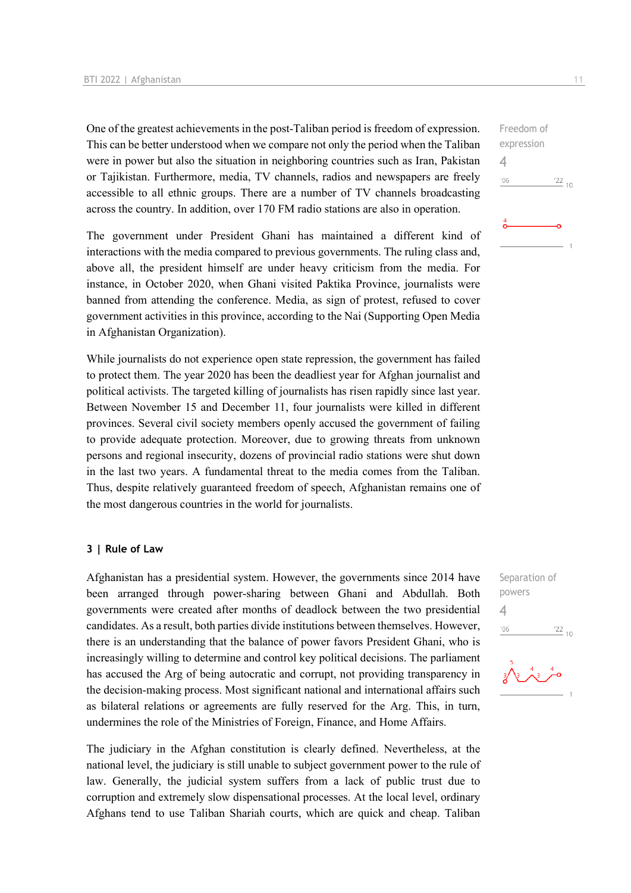One of the greatest achievements in the post-Taliban period is freedom of expression. This can be better understood when we compare not only the period when the Taliban were in power but also the situation in neighboring countries such as Iran, Pakistan or Tajikistan. Furthermore, media, TV channels, radios and newspapers are freely accessible to all ethnic groups. There are a number of TV channels broadcasting across the country. In addition, over 170 FM radio stations are also in operation.

The government under President Ghani has maintained a different kind of interactions with the media compared to previous governments. The ruling class and, above all, the president himself are under heavy criticism from the media. For instance, in October 2020, when Ghani visited Paktika Province, journalists were banned from attending the conference. Media, as sign of protest, refused to cover government activities in this province, according to the Nai (Supporting Open Media in Afghanistan Organization).

While journalists do not experience open state repression, the government has failed to protect them. The year 2020 has been the deadliest year for Afghan journalist and political activists. The targeted killing of journalists has risen rapidly since last year. Between November 15 and December 11, four journalists were killed in different provinces. Several civil society members openly accused the government of failing to provide adequate protection. Moreover, due to growing threats from unknown persons and regional insecurity, dozens of provincial radio stations were shut down in the last two years. A fundamental threat to the media comes from the Taliban. Thus, despite relatively guaranteed freedom of speech, Afghanistan remains one of the most dangerous countries in the world for journalists.

### **3 | Rule of Law**

Afghanistan has a presidential system. However, the governments since 2014 have been arranged through power-sharing between Ghani and Abdullah. Both governments were created after months of deadlock between the two presidential candidates. As a result, both parties divide institutions between themselves. However, there is an understanding that the balance of power favors President Ghani, who is increasingly willing to determine and control key political decisions. The parliament has accused the Arg of being autocratic and corrupt, not providing transparency in the decision-making process. Most significant national and international affairs such as bilateral relations or agreements are fully reserved for the Arg. This, in turn, undermines the role of the Ministries of Foreign, Finance, and Home Affairs.

The judiciary in the Afghan constitution is clearly defined. Nevertheless, at the national level, the judiciary is still unable to subject government power to the rule of law. Generally, the judicial system suffers from a lack of public trust due to corruption and extremely slow dispensational processes. At the local level, ordinary Afghans tend to use Taliban Shariah courts, which are quick and cheap. Taliban

expression 4  $-06$  $\frac{22}{10}$ 

Freedom of

Separation of powers 4 $\frac{22}{10}$  $06'$ 

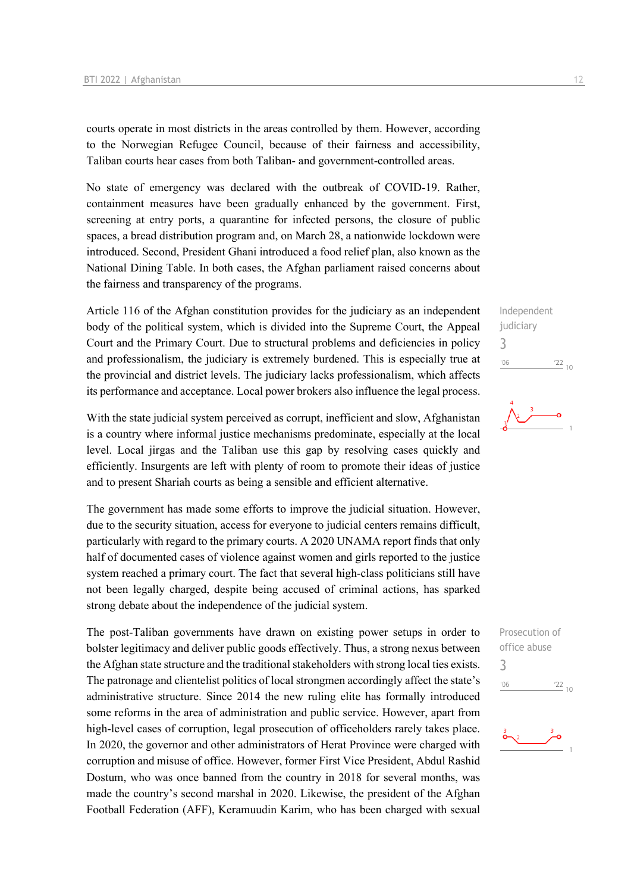courts operate in most districts in the areas controlled by them. However, according to the Norwegian Refugee Council, because of their fairness and accessibility, Taliban courts hear cases from both Taliban- and government-controlled areas.

No state of emergency was declared with the outbreak of COVID-19. Rather, containment measures have been gradually enhanced by the government. First, screening at entry ports, a quarantine for infected persons, the closure of public spaces, a bread distribution program and, on March 28, a nationwide lockdown were introduced. Second, President Ghani introduced a food relief plan, also known as the National Dining Table. In both cases, the Afghan parliament raised concerns about the fairness and transparency of the programs.

Article 116 of the Afghan constitution provides for the judiciary as an independent body of the political system, which is divided into the Supreme Court, the Appeal Court and the Primary Court. Due to structural problems and deficiencies in policy and professionalism, the judiciary is extremely burdened. This is especially true at the provincial and district levels. The judiciary lacks professionalism, which affects its performance and acceptance. Local power brokers also influence the legal process.

With the state judicial system perceived as corrupt, inefficient and slow, Afghanistan is a country where informal justice mechanisms predominate, especially at the local level. Local jirgas and the Taliban use this gap by resolving cases quickly and efficiently. Insurgents are left with plenty of room to promote their ideas of justice and to present Shariah courts as being a sensible and efficient alternative.

The government has made some efforts to improve the judicial situation. However, due to the security situation, access for everyone to judicial centers remains difficult, particularly with regard to the primary courts. A 2020 UNAMA report finds that only half of documented cases of violence against women and girls reported to the justice system reached a primary court. The fact that several high-class politicians still have not been legally charged, despite being accused of criminal actions, has sparked strong debate about the independence of the judicial system.

The post-Taliban governments have drawn on existing power setups in order to bolster legitimacy and deliver public goods effectively. Thus, a strong nexus between the Afghan state structure and the traditional stakeholders with strong local ties exists. The patronage and clientelist politics of local strongmen accordingly affect the state's administrative structure. Since 2014 the new ruling elite has formally introduced some reforms in the area of administration and public service. However, apart from high-level cases of corruption, legal prosecution of officeholders rarely takes place. In 2020, the governor and other administrators of Herat Province were charged with corruption and misuse of office. However, former First Vice President, Abdul Rashid Dostum, who was once banned from the country in 2018 for several months, was made the country's second marshal in 2020. Likewise, the president of the Afghan Football Federation (AFF), Keramuudin Karim, who has been charged with sexual

Independent judiciary 3  $^{\prime}06$  $\frac{22}{10}$ 



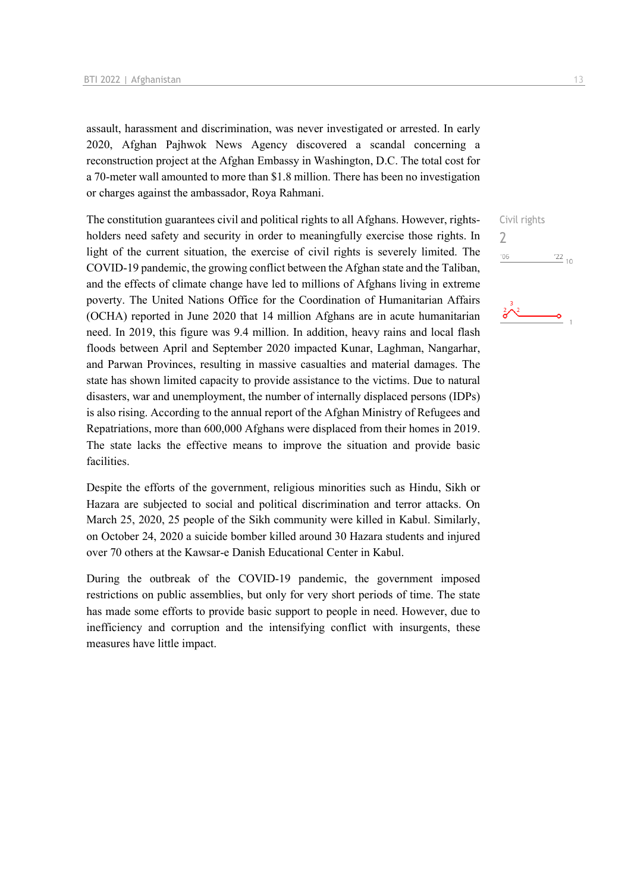assault, harassment and discrimination, was never investigated or arrested. In early 2020, Afghan Pajhwok News Agency discovered a scandal concerning a reconstruction project at the Afghan Embassy in Washington, D.C. The total cost for a 70-meter wall amounted to more than \$1.8 million. There has been no investigation or charges against the ambassador, Roya Rahmani.

The constitution guarantees civil and political rights to all Afghans. However, rightsholders need safety and security in order to meaningfully exercise those rights. In light of the current situation, the exercise of civil rights is severely limited. The COVID-19 pandemic, the growing conflict between the Afghan state and the Taliban, and the effects of climate change have led to millions of Afghans living in extreme poverty. The United Nations Office for the Coordination of Humanitarian Affairs (OCHA) reported in June 2020 that 14 million Afghans are in acute humanitarian need. In 2019, this figure was 9.4 million. In addition, heavy rains and local flash floods between April and September 2020 impacted Kunar, Laghman, Nangarhar, and Parwan Provinces, resulting in massive casualties and material damages. The state has shown limited capacity to provide assistance to the victims. Due to natural disasters, war and unemployment, the number of internally displaced persons (IDPs) is also rising. According to the annual report of the Afghan Ministry of Refugees and Repatriations, more than 600,000 Afghans were displaced from their homes in 2019. The state lacks the effective means to improve the situation and provide basic facilities.

Despite the efforts of the government, religious minorities such as Hindu, Sikh or Hazara are subjected to social and political discrimination and terror attacks. On March 25, 2020, 25 people of the Sikh community were killed in Kabul. Similarly, on October 24, 2020 a suicide bomber killed around 30 Hazara students and injured over 70 others at the Kawsar-e Danish Educational Center in Kabul.

During the outbreak of the COVID-19 pandemic, the government imposed restrictions on public assemblies, but only for very short periods of time. The state has made some efforts to provide basic support to people in need. However, due to inefficiency and corruption and the intensifying conflict with insurgents, these measures have little impact.

```
Civil rights
2\frac{22}{10}'06
```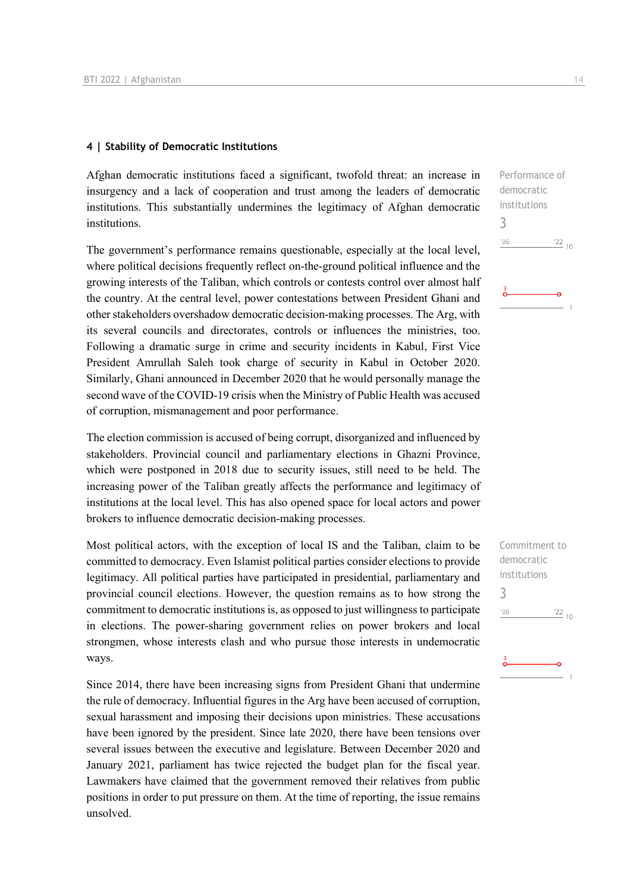### **4 | Stability of Democratic Institutions**

Afghan democratic institutions faced a significant, twofold threat: an increase in insurgency and a lack of cooperation and trust among the leaders of democratic institutions. This substantially undermines the legitimacy of Afghan democratic institutions.

The government's performance remains questionable, especially at the local level, where political decisions frequently reflect on-the-ground political influence and the growing interests of the Taliban, which controls or contests control over almost half the country. At the central level, power contestations between President Ghani and other stakeholders overshadow democratic decision-making processes. The Arg, with its several councils and directorates, controls or influences the ministries, too. Following a dramatic surge in crime and security incidents in Kabul, First Vice President Amrullah Saleh took charge of security in Kabul in October 2020. Similarly, Ghani announced in December 2020 that he would personally manage the second wave of the COVID-19 crisis when the Ministry of Public Health was accused of corruption, mismanagement and poor performance.

The election commission is accused of being corrupt, disorganized and influenced by stakeholders. Provincial council and parliamentary elections in Ghazni Province, which were postponed in 2018 due to security issues, still need to be held. The increasing power of the Taliban greatly affects the performance and legitimacy of institutions at the local level. This has also opened space for local actors and power brokers to influence democratic decision-making processes.

Most political actors, with the exception of local IS and the Taliban, claim to be committed to democracy. Even Islamist political parties consider elections to provide legitimacy. All political parties have participated in presidential, parliamentary and provincial council elections. However, the question remains as to how strong the commitment to democratic institutions is, as opposed to just willingness to participate in elections. The power-sharing government relies on power brokers and local strongmen, whose interests clash and who pursue those interests in undemocratic ways.

Since 2014, there have been increasing signs from President Ghani that undermine the rule of democracy. Influential figures in the Arg have been accused of corruption, sexual harassment and imposing their decisions upon ministries. These accusations have been ignored by the president. Since late 2020, there have been tensions over several issues between the executive and legislature. Between December 2020 and January 2021, parliament has twice rejected the budget plan for the fiscal year. Lawmakers have claimed that the government removed their relatives from public positions in order to put pressure on them. At the time of reporting, the issue remains unsolved.

Performance of democratic institutions 3  $^{\prime}06$  $122_{10}$ 

Commitment to democratic institutions 3 $-06$  $\frac{22}{10}$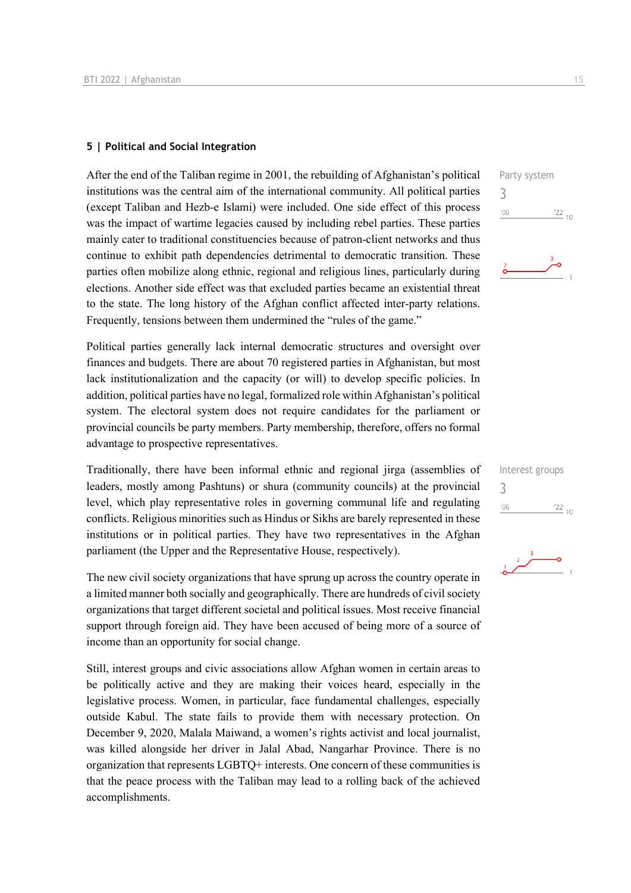### **5 | Political and Social Integration**

After the end of the Taliban regime in 2001, the rebuilding of Afghanistan's political institutions was the central aim of the international community. All political parties (except Taliban and Hezb-e Islami) were included. One side effect of this process was the impact of wartime legacies caused by including rebel parties. These parties mainly cater to traditional constituencies because of patron-client networks and thus continue to exhibit path dependencies detrimental to democratic transition. These parties often mobilize along ethnic, regional and religious lines, particularly during elections. Another side effect was that excluded parties became an existential threat to the state. The long history of the Afghan conflict affected inter-party relations. Frequently, tensions between them undermined the "rules of the game."

Political parties generally lack internal democratic structures and oversight over finances and budgets. There are about 70 registered parties in Afghanistan, but most lack institutionalization and the capacity (or will) to develop specific policies. In addition, political parties have no legal, formalized role within Afghanistan's political system. The electoral system does not require candidates for the parliament or provincial councils be party members. Party membership, therefore, offers no formal advantage to prospective representatives.

Traditionally, there have been informal ethnic and regional jirga (assemblies of leaders, mostly among Pashtuns) or shura (community councils) at the provincial level, which play representative roles in governing communal life and regulating conflicts. Religious minorities such as Hindus or Sikhs are barely represented in these institutions or in political parties. They have two representatives in the Afghan parliament (the Upper and the Representative House, respectively).

The new civil society organizations that have sprung up across the country operate in a limited manner both socially and geographically. There are hundreds of civil society organizations that target different societal and political issues. Most receive financial support through foreign aid. They have been accused of being more of a source of income than an opportunity for social change.

Still, interest groups and civic associations allow Afghan women in certain areas to be politically active and they are making their voices heard, especially in the legislative process. Women, in particular, face fundamental challenges, especially outside Kabul. The state fails to provide them with necessary protection. On December 9, 2020, Malala Maiwand, a women's rights activist and local journalist, was killed alongside her driver in Jalal Abad, Nangarhar Province. There is no organization that represents LGBTQ+ interests. One concern of these communities is that the peace process with the Taliban may lead to a rolling back of the achieved accomplishments.



| Interest groups |            |  |
|-----------------|------------|--|
| 3               |            |  |
| '06             | $'22_{10}$ |  |
|                 |            |  |

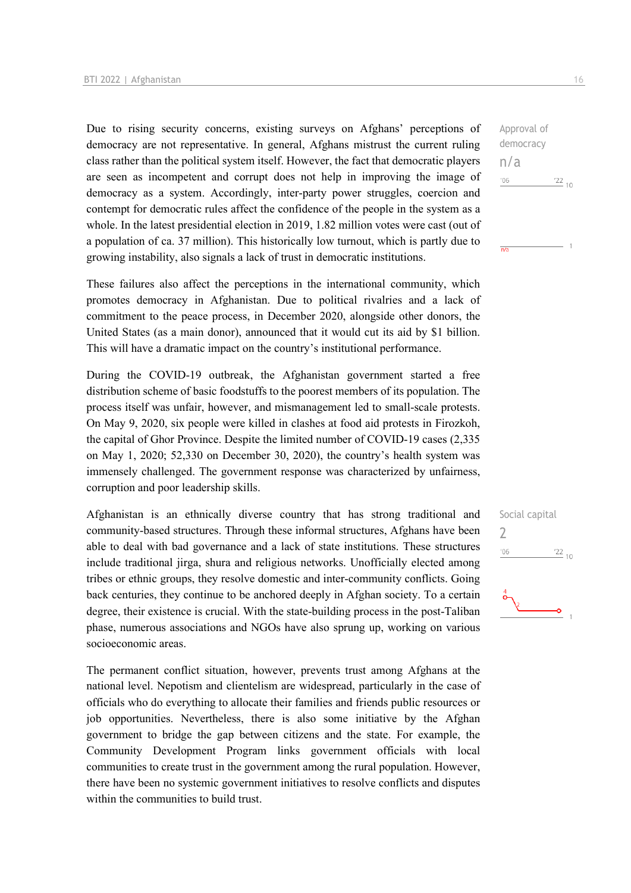Due to rising security concerns, existing surveys on Afghans' perceptions of democracy are not representative. In general, Afghans mistrust the current ruling class rather than the political system itself. However, the fact that democratic players are seen as incompetent and corrupt does not help in improving the image of democracy as a system. Accordingly, inter-party power struggles, coercion and contempt for democratic rules affect the confidence of the people in the system as a whole. In the latest presidential election in 2019, 1.82 million votes were cast (out of a population of ca. 37 million). This historically low turnout, which is partly due to growing instability, also signals a lack of trust in democratic institutions.

These failures also affect the perceptions in the international community, which promotes democracy in Afghanistan. Due to political rivalries and a lack of commitment to the peace process, in December 2020, alongside other donors, the United States (as a main donor), announced that it would cut its aid by \$1 billion. This will have a dramatic impact on the country's institutional performance.

During the COVID-19 outbreak, the Afghanistan government started a free distribution scheme of basic foodstuffs to the poorest members of its population. The process itself was unfair, however, and mismanagement led to small-scale protests. On May 9, 2020, six people were killed in clashes at food aid protests in Firozkoh, the capital of Ghor Province. Despite the limited number of COVID-19 cases (2,335 on May 1, 2020; 52,330 on December 30, 2020), the country's health system was immensely challenged. The government response was characterized by unfairness, corruption and poor leadership skills.

Afghanistan is an ethnically diverse country that has strong traditional and community-based structures. Through these informal structures, Afghans have been able to deal with bad governance and a lack of state institutions. These structures include traditional jirga, shura and religious networks. Unofficially elected among tribes or ethnic groups, they resolve domestic and inter-community conflicts. Going back centuries, they continue to be anchored deeply in Afghan society. To a certain degree, their existence is crucial. With the state-building process in the post-Taliban phase, numerous associations and NGOs have also sprung up, working on various socioeconomic areas.

The permanent conflict situation, however, prevents trust among Afghans at the national level. Nepotism and clientelism are widespread, particularly in the case of officials who do everything to allocate their families and friends public resources or job opportunities. Nevertheless, there is also some initiative by the Afghan government to bridge the gap between citizens and the state. For example, the Community Development Program links government officials with local communities to create trust in the government among the rural population. However, there have been no systemic government initiatives to resolve conflicts and disputes within the communities to build trust.

Approval of democracy n/a  $^{\prime}06$  $\frac{22}{10}$ 

 $\overline{m/s}$ 

Social capital  $\overline{\phantom{a}}$  $^{\prime}06$  $122_{10}$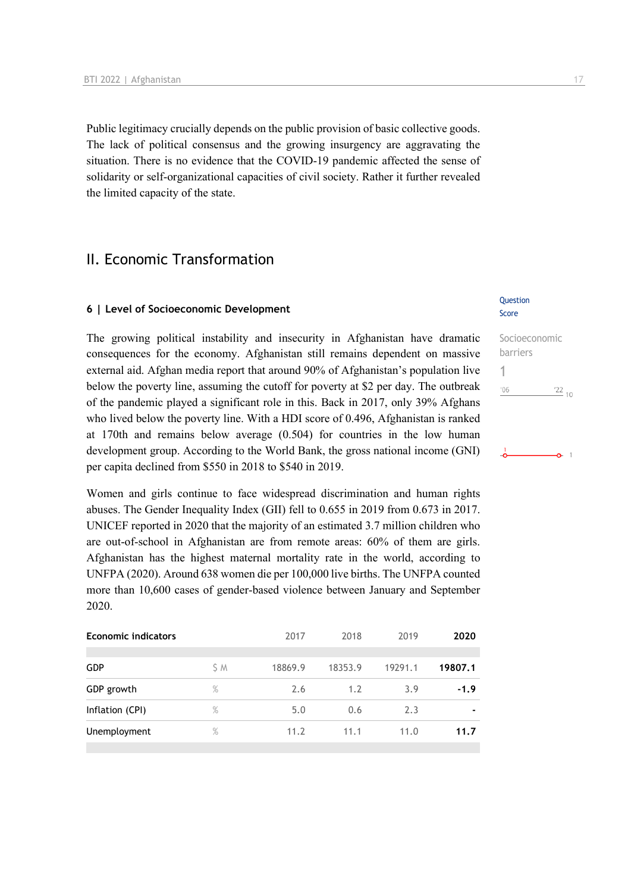Public legitimacy crucially depends on the public provision of basic collective goods. The lack of political consensus and the growing insurgency are aggravating the situation. There is no evidence that the COVID-19 pandemic affected the sense of solidarity or self-organizational capacities of civil society. Rather it further revealed the limited capacity of the state.

## II. Economic Transformation

### **6 | Level of Socioeconomic Development**

The growing political instability and insecurity in Afghanistan have dramatic consequences for the economy. Afghanistan still remains dependent on massive external aid. Afghan media report that around 90% of Afghanistan's population live below the poverty line, assuming the cutoff for poverty at \$2 per day. The outbreak of the pandemic played a significant role in this. Back in 2017, only 39% Afghans who lived below the poverty line. With a HDI score of 0.496, Afghanistan is ranked at 170th and remains below average (0.504) for countries in the low human development group. According to the World Bank, the gross national income (GNI) per capita declined from \$550 in 2018 to \$540 in 2019.

Women and girls continue to face widespread discrimination and human rights abuses. The Gender Inequality Index (GII) fell to 0.655 in 2019 from 0.673 in 2017. UNICEF reported in 2020 that the majority of an estimated 3.7 million children who are out-of-school in Afghanistan are from remote areas: 60% of them are girls. Afghanistan has the highest maternal mortality rate in the world, according to UNFPA (2020). Around 638 women die per 100,000 live births. The UNFPA counted more than 10,600 cases of gender-based violence between January and September 2020.

| <b>Economic indicators</b> |      | 2017    | 2018    | 2019    | 2020    |
|----------------------------|------|---------|---------|---------|---------|
|                            |      |         |         |         |         |
| <b>GDP</b>                 | S M  | 18869.9 | 18353.9 | 19291.1 | 19807.1 |
| GDP growth                 | $\%$ | 2.6     | 1.2     | 3.9     | $-1.9$  |
| Inflation (CPI)            | $\%$ | 5.0     | 0.6     | 2.3     |         |
| Unemployment               | $\%$ | 11.2    | 11.1    | 11.0    | 11.7    |
|                            |      |         |         |         |         |

### Question Score

| Socioeconomic |                 |  |
|---------------|-----------------|--|
| barriers      |                 |  |
|               |                 |  |
| '06           | $\frac{22}{10}$ |  |
|               |                 |  |
|               |                 |  |
|               |                 |  |
|               |                 |  |
|               |                 |  |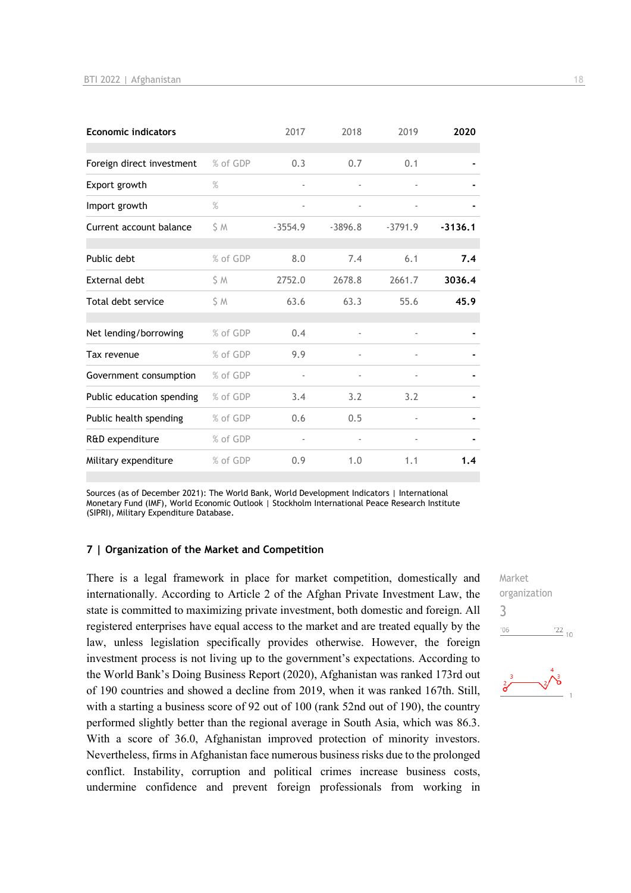| <b>Economic indicators</b> |          | 2017      | 2018      | 2019                     | 2020      |
|----------------------------|----------|-----------|-----------|--------------------------|-----------|
| Foreign direct investment  | % of GDP | 0.3       | 0.7       | 0.1                      |           |
| Export growth              | $\%$     | ä,        |           |                          |           |
| Import growth              | $\%$     | ٠         |           |                          |           |
| Current account balance    | S M      | $-3554.9$ | $-3896.8$ | $-3791.9$                | $-3136.1$ |
| Public debt                | % of GDP | 8.0       | 7.4       | 6.1                      | 7.4       |
| External debt              | S M      | 2752.0    | 2678.8    | 2661.7                   | 3036.4    |
| Total debt service         | S M      | 63.6      | 63.3      | 55.6                     | 45.9      |
| Net lending/borrowing      | % of GDP | 0.4       |           |                          |           |
| Tax revenue                | % of GDP | 9.9       |           | $\overline{\phantom{0}}$ |           |
| Government consumption     | % of GDP |           |           | $\overline{\phantom{a}}$ |           |
| Public education spending  | % of GDP | 3.4       | 3.2       | 3.2                      |           |
| Public health spending     | % of GDP | 0.6       | 0.5       | i,                       |           |
| R&D expenditure            | % of GDP |           |           |                          |           |
| Military expenditure       | % of GDP | 0.9       | 1.0       | 1.1                      | 1.4       |

Sources (as of December 2021): The World Bank, World Development Indicators | International Monetary Fund (IMF), World Economic Outlook | Stockholm International Peace Research Institute (SIPRI), Military Expenditure Database.

### **7 | Organization of the Market and Competition**

There is a legal framework in place for market competition, domestically and internationally. According to Article 2 of the Afghan Private Investment Law, the state is committed to maximizing private investment, both domestic and foreign. All registered enterprises have equal access to the market and are treated equally by the law, unless legislation specifically provides otherwise. However, the foreign investment process is not living up to the government's expectations. According to the World Bank's Doing Business Report (2020), Afghanistan was ranked 173rd out of 190 countries and showed a decline from 2019, when it was ranked 167th. Still, with a starting a business score of 92 out of 100 (rank 52nd out of 190), the country performed slightly better than the regional average in South Asia, which was 86.3. With a score of 36.0, Afghanistan improved protection of minority investors. Nevertheless, firms in Afghanistan face numerous business risks due to the prolonged conflict. Instability, corruption and political crimes increase business costs, undermine confidence and prevent foreign professionals from working in Market organization 3 $\frac{22}{10}$  $106$ 

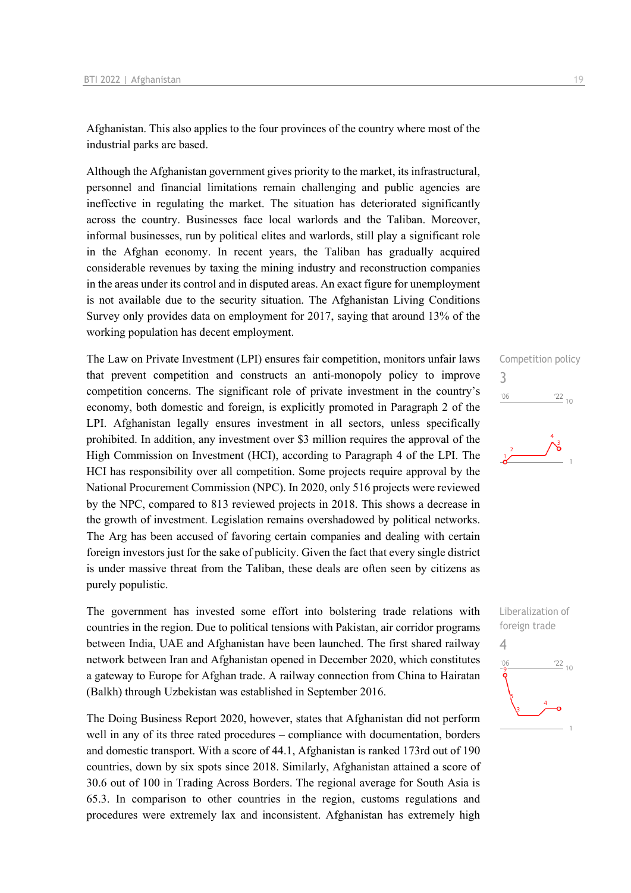Afghanistan. This also applies to the four provinces of the country where most of the industrial parks are based.

Although the Afghanistan government gives priority to the market, its infrastructural, personnel and financial limitations remain challenging and public agencies are ineffective in regulating the market. The situation has deteriorated significantly across the country. Businesses face local warlords and the Taliban. Moreover, informal businesses, run by political elites and warlords, still play a significant role in the Afghan economy. In recent years, the Taliban has gradually acquired considerable revenues by taxing the mining industry and reconstruction companies in the areas under its control and in disputed areas. An exact figure for unemployment is not available due to the security situation. The Afghanistan Living Conditions Survey only provides data on employment for 2017, saying that around 13% of the working population has decent employment.

The Law on Private Investment (LPI) ensures fair competition, monitors unfair laws that prevent competition and constructs an anti-monopoly policy to improve competition concerns. The significant role of private investment in the country's economy, both domestic and foreign, is explicitly promoted in Paragraph 2 of the LPI. Afghanistan legally ensures investment in all sectors, unless specifically prohibited. In addition, any investment over \$3 million requires the approval of the High Commission on Investment (HCI), according to Paragraph 4 of the LPI. The HCI has responsibility over all competition. Some projects require approval by the National Procurement Commission (NPC). In 2020, only 516 projects were reviewed by the NPC, compared to 813 reviewed projects in 2018. This shows a decrease in the growth of investment. Legislation remains overshadowed by political networks. The Arg has been accused of favoring certain companies and dealing with certain foreign investors just for the sake of publicity. Given the fact that every single district is under massive threat from the Taliban, these deals are often seen by citizens as purely populistic.

The government has invested some effort into bolstering trade relations with countries in the region. Due to political tensions with Pakistan, air corridor programs between India, UAE and Afghanistan have been launched. The first shared railway network between Iran and Afghanistan opened in December 2020, which constitutes a gateway to Europe for Afghan trade. A railway connection from China to Hairatan (Balkh) through Uzbekistan was established in September 2016.

The Doing Business Report 2020, however, states that Afghanistan did not perform well in any of its three rated procedures – compliance with documentation, borders and domestic transport. With a score of 44.1, Afghanistan is ranked 173rd out of 190 countries, down by six spots since 2018. Similarly, Afghanistan attained a score of 30.6 out of 100 in Trading Across Borders. The regional average for South Asia is 65.3. In comparison to other countries in the region, customs regulations and procedures were extremely lax and inconsistent. Afghanistan has extremely high

# Competition policy 3  $\frac{22}{10}$  $'06$

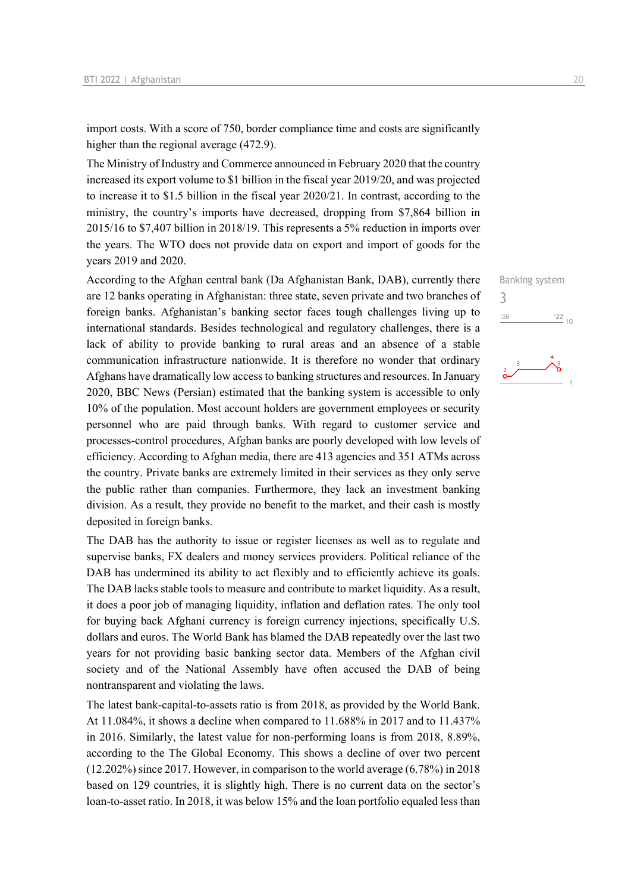import costs. With a score of 750, border compliance time and costs are significantly higher than the regional average (472.9).

The Ministry of Industry and Commerce announced in February 2020 that the country increased its export volume to \$1 billion in the fiscal year 2019/20, and was projected to increase it to \$1.5 billion in the fiscal year 2020/21. In contrast, according to the ministry, the country's imports have decreased, dropping from \$7,864 billion in 2015/16 to \$7,407 billion in 2018/19. This represents a 5% reduction in imports over the years. The WTO does not provide data on export and import of goods for the years 2019 and 2020.

According to the Afghan central bank (Da Afghanistan Bank, DAB), currently there are 12 banks operating in Afghanistan: three state, seven private and two branches of foreign banks. Afghanistan's banking sector faces tough challenges living up to international standards. Besides technological and regulatory challenges, there is a lack of ability to provide banking to rural areas and an absence of a stable communication infrastructure nationwide. It is therefore no wonder that ordinary Afghans have dramatically low access to banking structures and resources. In January 2020, BBC News (Persian) estimated that the banking system is accessible to only 10% of the population. Most account holders are government employees or security personnel who are paid through banks. With regard to customer service and processes-control procedures, Afghan banks are poorly developed with low levels of efficiency. According to Afghan media, there are 413 agencies and 351 ATMs across the country. Private banks are extremely limited in their services as they only serve the public rather than companies. Furthermore, they lack an investment banking division. As a result, they provide no benefit to the market, and their cash is mostly deposited in foreign banks.

The DAB has the authority to issue or register licenses as well as to regulate and supervise banks, FX dealers and money services providers. Political reliance of the DAB has undermined its ability to act flexibly and to efficiently achieve its goals. The DAB lacks stable tools to measure and contribute to market liquidity. As a result, it does a poor job of managing liquidity, inflation and deflation rates. The only tool for buying back Afghani currency is foreign currency injections, specifically U.S. dollars and euros. The World Bank has blamed the DAB repeatedly over the last two years for not providing basic banking sector data. Members of the Afghan civil society and of the National Assembly have often accused the DAB of being nontransparent and violating the laws.

The latest bank-capital-to-assets ratio is from 2018, as provided by the World Bank. At 11.084%, it shows a decline when compared to 11.688% in 2017 and to 11.437% in 2016. Similarly, the latest value for non-performing loans is from 2018, 8.89%, according to the The Global Economy. This shows a decline of over two percent (12.202%) since 2017. However, in comparison to the world average (6.78%) in 2018 based on 129 countries, it is slightly high. There is no current data on the sector's loan-to-asset ratio. In 2018, it was below 15% and the loan portfolio equaled less than

Banking system 3 $-06$  $\frac{22}{10}$ 

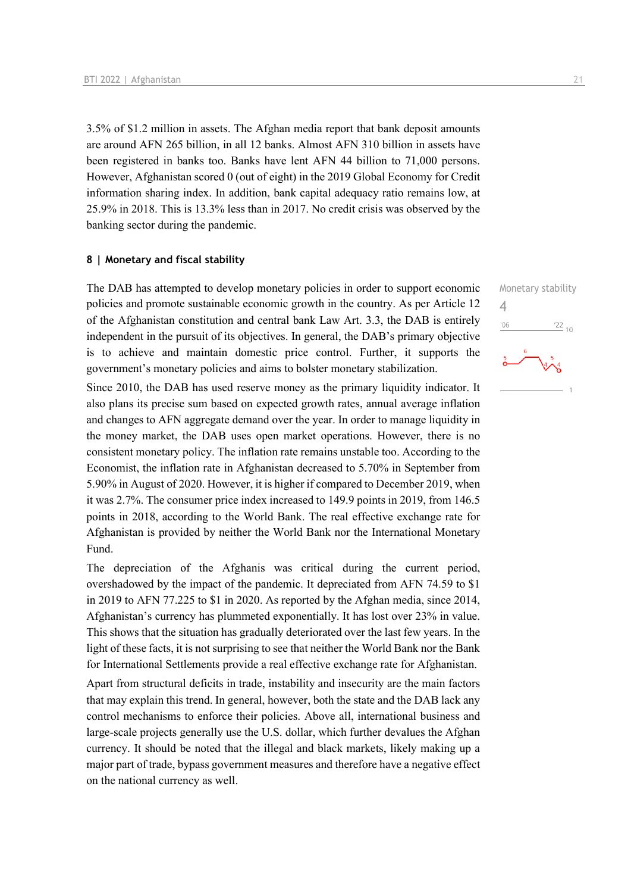3.5% of \$1.2 million in assets. The Afghan media report that bank deposit amounts are around AFN 265 billion, in all 12 banks. Almost AFN 310 billion in assets have been registered in banks too. Banks have lent AFN 44 billion to 71,000 persons. However, Afghanistan scored 0 (out of eight) in the 2019 Global Economy for Credit information sharing index. In addition, bank capital adequacy ratio remains low, at 25.9% in 2018. This is 13.3% less than in 2017. No credit crisis was observed by the banking sector during the pandemic.

### **8 | Monetary and fiscal stability**

The DAB has attempted to develop monetary policies in order to support economic policies and promote sustainable economic growth in the country. As per Article 12 of the Afghanistan constitution and central bank Law Art. 3.3, the DAB is entirely independent in the pursuit of its objectives. In general, the DAB's primary objective is to achieve and maintain domestic price control. Further, it supports the government's monetary policies and aims to bolster monetary stabilization.

Since 2010, the DAB has used reserve money as the primary liquidity indicator. It also plans its precise sum based on expected growth rates, annual average inflation and changes to AFN aggregate demand over the year. In order to manage liquidity in the money market, the DAB uses open market operations. However, there is no consistent monetary policy. The inflation rate remains unstable too. According to the Economist, the inflation rate in Afghanistan decreased to 5.70% in September from 5.90% in August of 2020. However, it is higher if compared to December 2019, when it was 2.7%. The consumer price index increased to 149.9 points in 2019, from 146.5 points in 2018, according to the World Bank. The real effective exchange rate for Afghanistan is provided by neither the World Bank nor the International Monetary Fund.

The depreciation of the Afghanis was critical during the current period, overshadowed by the impact of the pandemic. It depreciated from AFN 74.59 to \$1 in 2019 to AFN 77.225 to \$1 in 2020. As reported by the Afghan media, since 2014, Afghanistan's currency has plummeted exponentially. It has lost over 23% in value. This shows that the situation has gradually deteriorated over the last few years. In the light of these facts, it is not surprising to see that neither the World Bank nor the Bank for International Settlements provide a real effective exchange rate for Afghanistan.

Apart from structural deficits in trade, instability and insecurity are the main factors that may explain this trend. In general, however, both the state and the DAB lack any control mechanisms to enforce their policies. Above all, international business and large-scale projects generally use the U.S. dollar, which further devalues the Afghan currency. It should be noted that the illegal and black markets, likely making up a major part of trade, bypass government measures and therefore have a negative effect on the national currency as well.

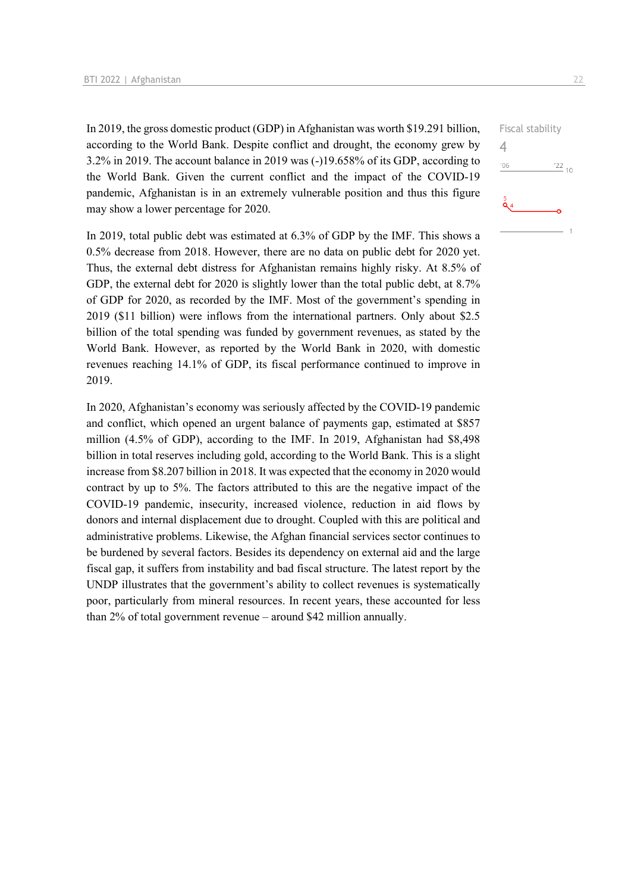In 2019, the gross domestic product (GDP) in Afghanistan was worth \$19.291 billion, according to the World Bank. Despite conflict and drought, the economy grew by 3.2% in 2019. The account balance in 2019 was (-)19.658% of its GDP, according to the World Bank. Given the current conflict and the impact of the COVID-19 pandemic, Afghanistan is in an extremely vulnerable position and thus this figure may show a lower percentage for 2020.

In 2019, total public debt was estimated at 6.3% of GDP by the IMF. This shows a 0.5% decrease from 2018. However, there are no data on public debt for 2020 yet. Thus, the external debt distress for Afghanistan remains highly risky. At 8.5% of GDP, the external debt for 2020 is slightly lower than the total public debt, at 8.7% of GDP for 2020, as recorded by the IMF. Most of the government's spending in 2019 (\$11 billion) were inflows from the international partners. Only about \$2.5 billion of the total spending was funded by government revenues, as stated by the World Bank. However, as reported by the World Bank in 2020, with domestic revenues reaching 14.1% of GDP, its fiscal performance continued to improve in 2019.

In 2020, Afghanistan's economy was seriously affected by the COVID-19 pandemic and conflict, which opened an urgent balance of payments gap, estimated at \$857 million (4.5% of GDP), according to the IMF. In 2019, Afghanistan had \$8,498 billion in total reserves including gold, according to the World Bank. This is a slight increase from \$8.207 billion in 2018. It was expected that the economy in 2020 would contract by up to 5%. The factors attributed to this are the negative impact of the COVID-19 pandemic, insecurity, increased violence, reduction in aid flows by donors and internal displacement due to drought. Coupled with this are political and administrative problems. Likewise, the Afghan financial services sector continues to be burdened by several factors. Besides its dependency on external aid and the large fiscal gap, it suffers from instability and bad fiscal structure. The latest report by the UNDP illustrates that the government's ability to collect revenues is systematically poor, particularly from mineral resources. In recent years, these accounted for less than 2% of total government revenue – around \$42 million annually.

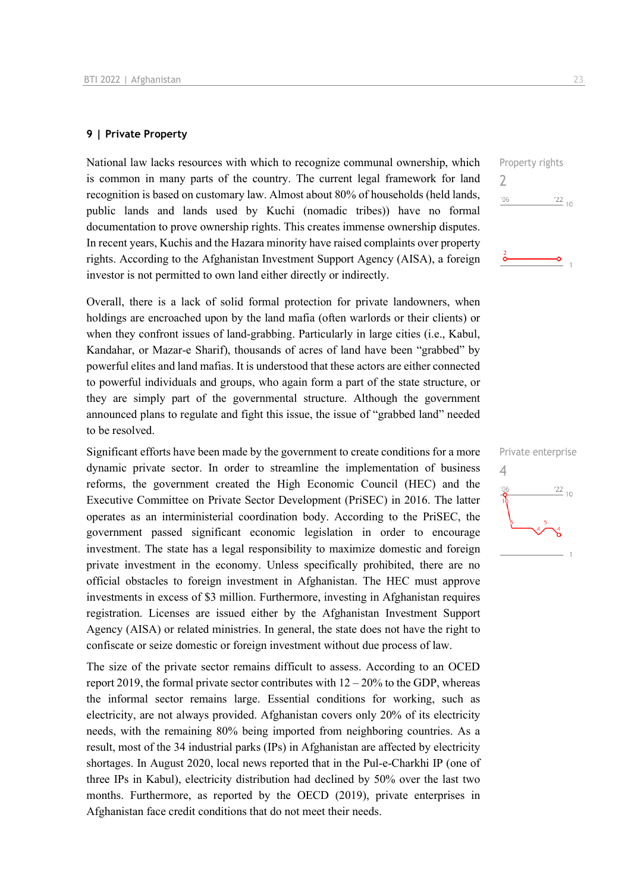### **9 | Private Property**

National law lacks resources with which to recognize communal ownership, which is common in many parts of the country. The current legal framework for land recognition is based on customary law. Almost about 80% of households (held lands, public lands and lands used by Kuchi (nomadic tribes)) have no formal documentation to prove ownership rights. This creates immense ownership disputes. In recent years, Kuchis and the Hazara minority have raised complaints over property rights. According to the Afghanistan Investment Support Agency (AISA), a foreign investor is not permitted to own land either directly or indirectly.

Overall, there is a lack of solid formal protection for private landowners, when holdings are encroached upon by the land mafia (often warlords or their clients) or when they confront issues of land-grabbing. Particularly in large cities (i.e., Kabul, Kandahar, or Mazar-e Sharif), thousands of acres of land have been "grabbed" by powerful elites and land mafias. It is understood that these actors are either connected to powerful individuals and groups, who again form a part of the state structure, or they are simply part of the governmental structure. Although the government announced plans to regulate and fight this issue, the issue of "grabbed land" needed to be resolved.

Significant efforts have been made by the government to create conditions for a more dynamic private sector. In order to streamline the implementation of business reforms, the government created the High Economic Council (HEC) and the Executive Committee on Private Sector Development (PriSEC) in 2016. The latter operates as an interministerial coordination body. According to the PriSEC, the government passed significant economic legislation in order to encourage investment. The state has a legal responsibility to maximize domestic and foreign private investment in the economy. Unless specifically prohibited, there are no official obstacles to foreign investment in Afghanistan. The HEC must approve investments in excess of \$3 million. Furthermore, investing in Afghanistan requires registration. Licenses are issued either by the Afghanistan Investment Support Agency (AISA) or related ministries. In general, the state does not have the right to confiscate or seize domestic or foreign investment without due process of law.

The size of the private sector remains difficult to assess. According to an OCED report 2019, the formal private sector contributes with  $12 - 20\%$  to the GDP, whereas the informal sector remains large. Essential conditions for working, such as electricity, are not always provided. Afghanistan covers only 20% of its electricity needs, with the remaining 80% being imported from neighboring countries. As a result, most of the 34 industrial parks (IPs) in Afghanistan are affected by electricity shortages. In August 2020, local news reported that in the Pul-e-Charkhi IP (one of three IPs in Kabul), electricity distribution had declined by 50% over the last two months. Furthermore, as reported by the OECD (2019), private enterprises in Afghanistan face credit conditions that do not meet their needs.

Property rights 2  $'06$  $\frac{22}{10}$ 

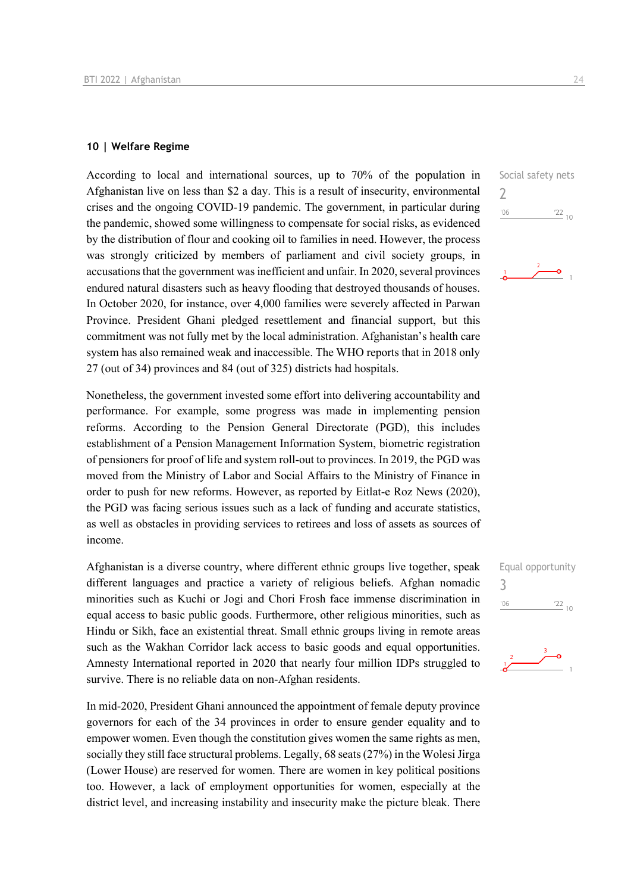### **10 | Welfare Regime**

According to local and international sources, up to 70% of the population in Afghanistan live on less than \$2 a day. This is a result of insecurity, environmental crises and the ongoing COVID-19 pandemic. The government, in particular during the pandemic, showed some willingness to compensate for social risks, as evidenced by the distribution of flour and cooking oil to families in need. However, the process was strongly criticized by members of parliament and civil society groups, in accusations that the government was inefficient and unfair. In 2020, several provinces endured natural disasters such as heavy flooding that destroyed thousands of houses. In October 2020, for instance, over 4,000 families were severely affected in Parwan Province. President Ghani pledged resettlement and financial support, but this commitment was not fully met by the local administration. Afghanistan's health care system has also remained weak and inaccessible. The WHO reports that in 2018 only 27 (out of 34) provinces and 84 (out of 325) districts had hospitals.

Nonetheless, the government invested some effort into delivering accountability and performance. For example, some progress was made in implementing pension reforms. According to the Pension General Directorate (PGD), this includes establishment of a Pension Management Information System, biometric registration of pensioners for proof of life and system roll-out to provinces. In 2019, the PGD was moved from the Ministry of Labor and Social Affairs to the Ministry of Finance in order to push for new reforms. However, as reported by Eitlat-e Roz News (2020), the PGD was facing serious issues such as a lack of funding and accurate statistics, as well as obstacles in providing services to retirees and loss of assets as sources of income.

Afghanistan is a diverse country, where different ethnic groups live together, speak different languages and practice a variety of religious beliefs. Afghan nomadic minorities such as Kuchi or Jogi and Chori Frosh face immense discrimination in equal access to basic public goods. Furthermore, other religious minorities, such as Hindu or Sikh, face an existential threat. Small ethnic groups living in remote areas such as the Wakhan Corridor lack access to basic goods and equal opportunities. Amnesty International reported in 2020 that nearly four million IDPs struggled to survive. There is no reliable data on non-Afghan residents.

In mid-2020, President Ghani announced the appointment of female deputy province governors for each of the 34 provinces in order to ensure gender equality and to empower women. Even though the constitution gives women the same rights as men, socially they still face structural problems. Legally, 68 seats (27%) in the Wolesi Jirga (Lower House) are reserved for women. There are women in key political positions too. However, a lack of employment opportunities for women, especially at the district level, and increasing instability and insecurity make the picture bleak. There Social safety nets  $\overline{\phantom{0}}$  $\frac{22}{10}$  $'06$ 



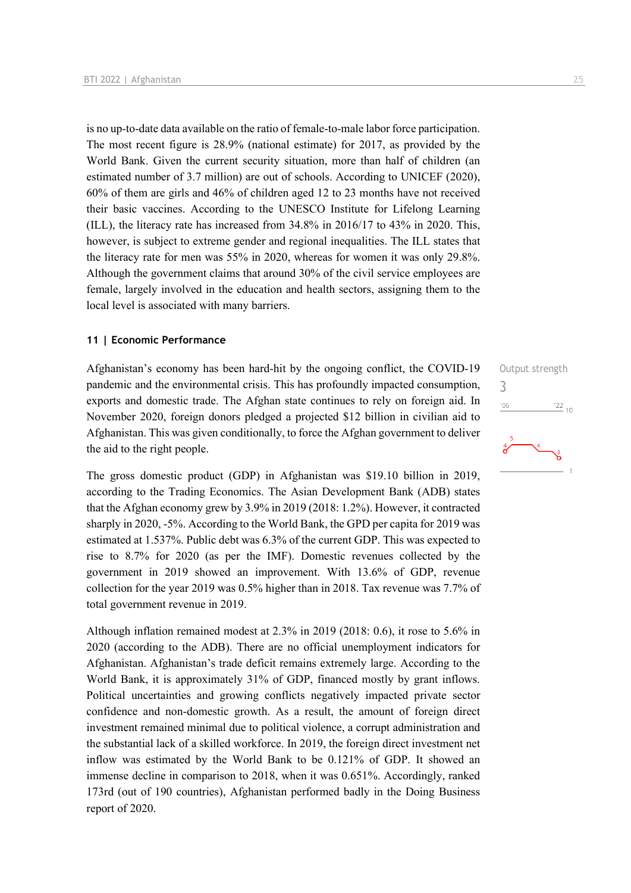is no up-to-date data available on the ratio of female-to-male labor force participation. The most recent figure is 28.9% (national estimate) for 2017, as provided by the World Bank. Given the current security situation, more than half of children (an estimated number of 3.7 million) are out of schools. According to UNICEF (2020), 60% of them are girls and 46% of children aged 12 to 23 months have not received their basic vaccines. According to the UNESCO Institute for Lifelong Learning (ILL), the literacy rate has increased from 34.8% in 2016/17 to 43% in 2020. This, however, is subject to extreme gender and regional inequalities. The ILL states that the literacy rate for men was 55% in 2020, whereas for women it was only 29.8%. Although the government claims that around 30% of the civil service employees are female, largely involved in the education and health sectors, assigning them to the local level is associated with many barriers.

### **11 | Economic Performance**

Afghanistan's economy has been hard-hit by the ongoing conflict, the COVID-19 pandemic and the environmental crisis. This has profoundly impacted consumption, exports and domestic trade. The Afghan state continues to rely on foreign aid. In November 2020, foreign donors pledged a projected \$12 billion in civilian aid to Afghanistan. This was given conditionally, to force the Afghan government to deliver the aid to the right people.

The gross domestic product (GDP) in Afghanistan was \$19.10 billion in 2019, according to the Trading Economics. The Asian Development Bank (ADB) states that the Afghan economy grew by 3.9% in 2019 (2018: 1.2%). However, it contracted sharply in 2020, -5%. According to the World Bank, the GPD per capita for 2019 was estimated at 1.537%. Public debt was 6.3% of the current GDP. This was expected to rise to 8.7% for 2020 (as per the IMF). Domestic revenues collected by the government in 2019 showed an improvement. With 13.6% of GDP, revenue collection for the year 2019 was 0.5% higher than in 2018. Tax revenue was 7.7% of total government revenue in 2019.

Although inflation remained modest at 2.3% in 2019 (2018: 0.6), it rose to 5.6% in 2020 (according to the ADB). There are no official unemployment indicators for Afghanistan. Afghanistan's trade deficit remains extremely large. According to the World Bank, it is approximately 31% of GDP, financed mostly by grant inflows. Political uncertainties and growing conflicts negatively impacted private sector confidence and non-domestic growth. As a result, the amount of foreign direct investment remained minimal due to political violence, a corrupt administration and the substantial lack of a skilled workforce. In 2019, the foreign direct investment net inflow was estimated by the World Bank to be 0.121% of GDP. It showed an immense decline in comparison to 2018, when it was 0.651%. Accordingly, ranked 173rd (out of 190 countries), Afghanistan performed badly in the Doing Business report of 2020.

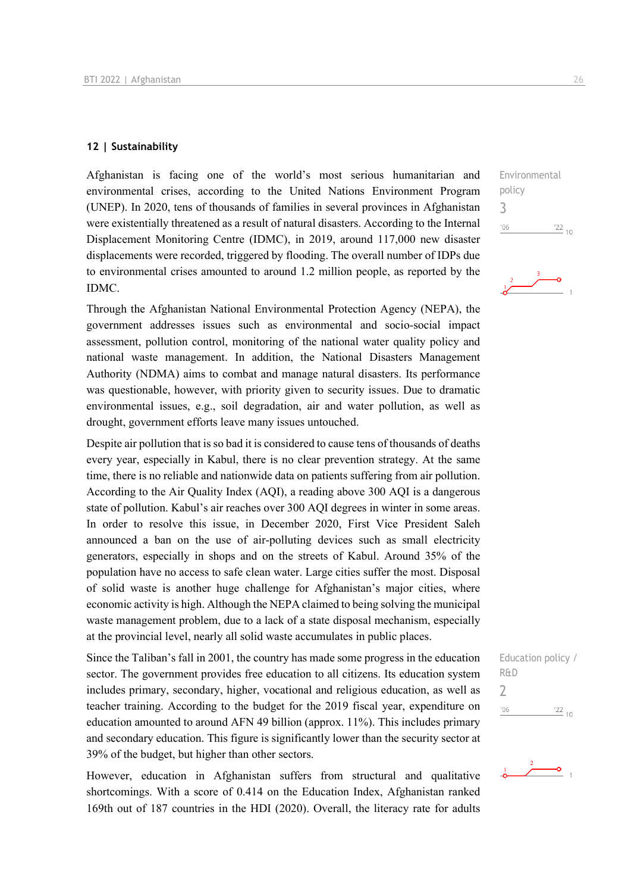### **12 | Sustainability**

Afghanistan is facing one of the world's most serious humanitarian and environmental crises, according to the United Nations Environment Program (UNEP). In 2020, tens of thousands of families in several provinces in Afghanistan were existentially threatened as a result of natural disasters. According to the Internal Displacement Monitoring Centre (IDMC), in 2019, around 117,000 new disaster displacements were recorded, triggered by flooding. The overall number of IDPs due to environmental crises amounted to around 1.2 million people, as reported by the IDMC.

Through the Afghanistan National Environmental Protection Agency (NEPA), the government addresses issues such as environmental and socio-social impact assessment, pollution control, monitoring of the national water quality policy and national waste management. In addition, the National Disasters Management Authority (NDMA) aims to combat and manage natural disasters. Its performance was questionable, however, with priority given to security issues. Due to dramatic environmental issues, e.g., soil degradation, air and water pollution, as well as drought, government efforts leave many issues untouched.

Despite air pollution that is so bad it is considered to cause tens of thousands of deaths every year, especially in Kabul, there is no clear prevention strategy. At the same time, there is no reliable and nationwide data on patients suffering from air pollution. According to the Air Quality Index (AQI), a reading above 300 AQI is a dangerous state of pollution. Kabul's air reaches over 300 AQI degrees in winter in some areas. In order to resolve this issue, in December 2020, First Vice President Saleh announced a ban on the use of air-polluting devices such as small electricity generators, especially in shops and on the streets of Kabul. Around 35% of the population have no access to safe clean water. Large cities suffer the most. Disposal of solid waste is another huge challenge for Afghanistan's major cities, where economic activity is high. Although the NEPA claimed to being solving the municipal waste management problem, due to a lack of a state disposal mechanism, especially at the provincial level, nearly all solid waste accumulates in public places.

Since the Taliban's fall in 2001, the country has made some progress in the education sector. The government provides free education to all citizens. Its education system includes primary, secondary, higher, vocational and religious education, as well as teacher training. According to the budget for the 2019 fiscal year, expenditure on education amounted to around AFN 49 billion (approx. 11%). This includes primary and secondary education. This figure is significantly lower than the security sector at 39% of the budget, but higher than other sectors.

However, education in Afghanistan suffers from structural and qualitative shortcomings. With a score of 0.414 on the Education Index, Afghanistan ranked 169th out of 187 countries in the HDI (2020). Overall, the literacy rate for adults





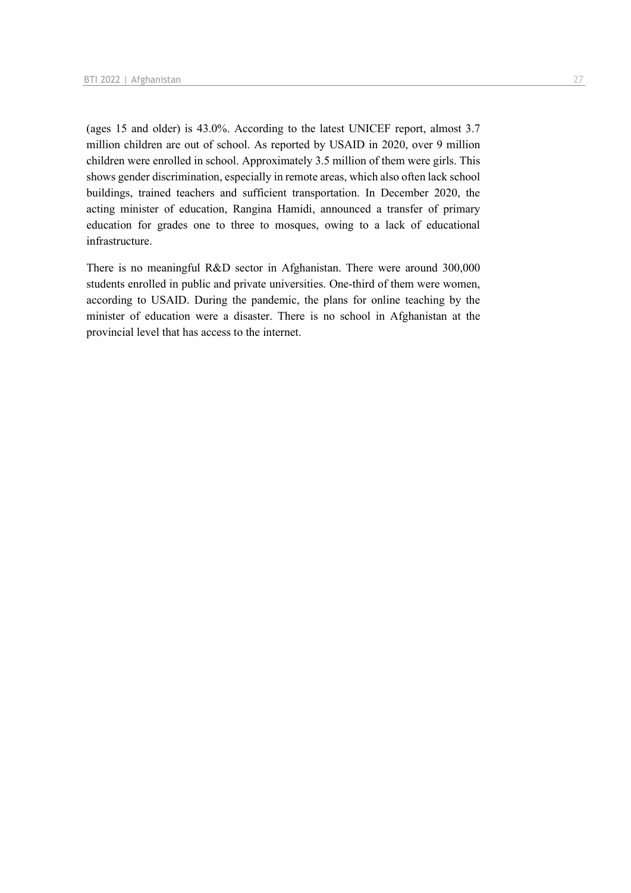(ages 15 and older) is 43.0%. According to the latest UNICEF report, almost 3.7 million children are out of school. As reported by USAID in 2020, over 9 million children were enrolled in school. Approximately 3.5 million of them were girls. This shows gender discrimination, especially in remote areas, which also often lack school buildings, trained teachers and sufficient transportation. In December 2020, the acting minister of education, Rangina Hamidi, announced a transfer of primary education for grades one to three to mosques, owing to a lack of educational infrastructure.

There is no meaningful R&D sector in Afghanistan. There were around 300,000 students enrolled in public and private universities. One-third of them were women, according to USAID. During the pandemic, the plans for online teaching by the minister of education were a disaster. There is no school in Afghanistan at the provincial level that has access to the internet.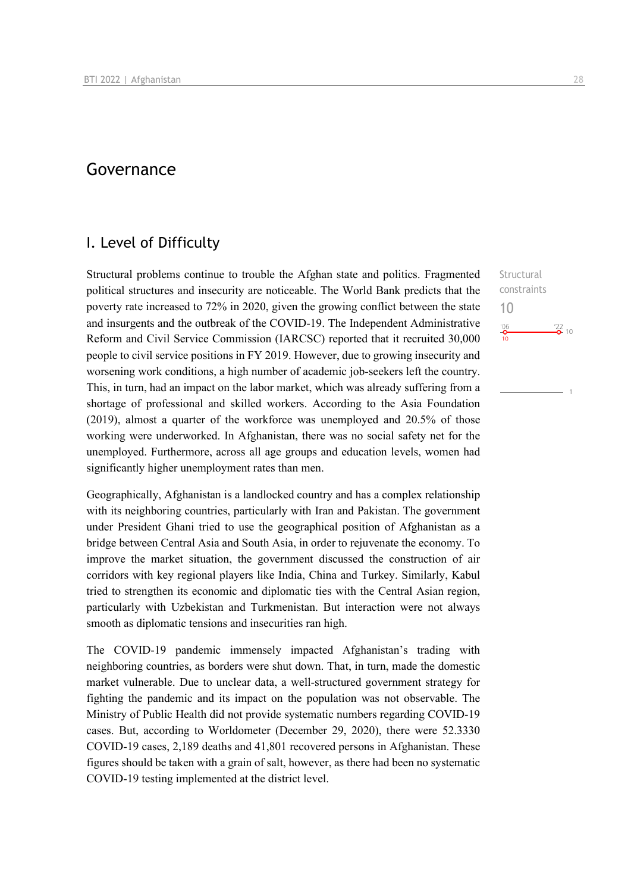# Governance

## I. Level of Difficulty

Structural problems continue to trouble the Afghan state and politics. Fragmented political structures and insecurity are noticeable. The World Bank predicts that the poverty rate increased to 72% in 2020, given the growing conflict between the state and insurgents and the outbreak of the COVID-19. The Independent Administrative Reform and Civil Service Commission (IARCSC) reported that it recruited 30,000 people to civil service positions in FY 2019. However, due to growing insecurity and worsening work conditions, a high number of academic job-seekers left the country. This, in turn, had an impact on the labor market, which was already suffering from a shortage of professional and skilled workers. According to the Asia Foundation (2019), almost a quarter of the workforce was unemployed and 20.5% of those working were underworked. In Afghanistan, there was no social safety net for the unemployed. Furthermore, across all age groups and education levels, women had significantly higher unemployment rates than men.

Geographically, Afghanistan is a landlocked country and has a complex relationship with its neighboring countries, particularly with Iran and Pakistan. The government under President Ghani tried to use the geographical position of Afghanistan as a bridge between Central Asia and South Asia, in order to rejuvenate the economy. To improve the market situation, the government discussed the construction of air corridors with key regional players like India, China and Turkey. Similarly, Kabul tried to strengthen its economic and diplomatic ties with the Central Asian region, particularly with Uzbekistan and Turkmenistan. But interaction were not always smooth as diplomatic tensions and insecurities ran high.

The COVID-19 pandemic immensely impacted Afghanistan's trading with neighboring countries, as borders were shut down. That, in turn, made the domestic market vulnerable. Due to unclear data, a well-structured government strategy for fighting the pandemic and its impact on the population was not observable. The Ministry of Public Health did not provide systematic numbers regarding COVID-19 cases. But, according to Worldometer (December 29, 2020), there were 52.3330 COVID-19 cases, 2,189 deaths and 41,801 recovered persons in Afghanistan. These figures should be taken with a grain of salt, however, as there had been no systematic COVID-19 testing implemented at the district level.

**Structural** constraints 10 $\frac{106}{10}$  $\frac{22}{2}$  10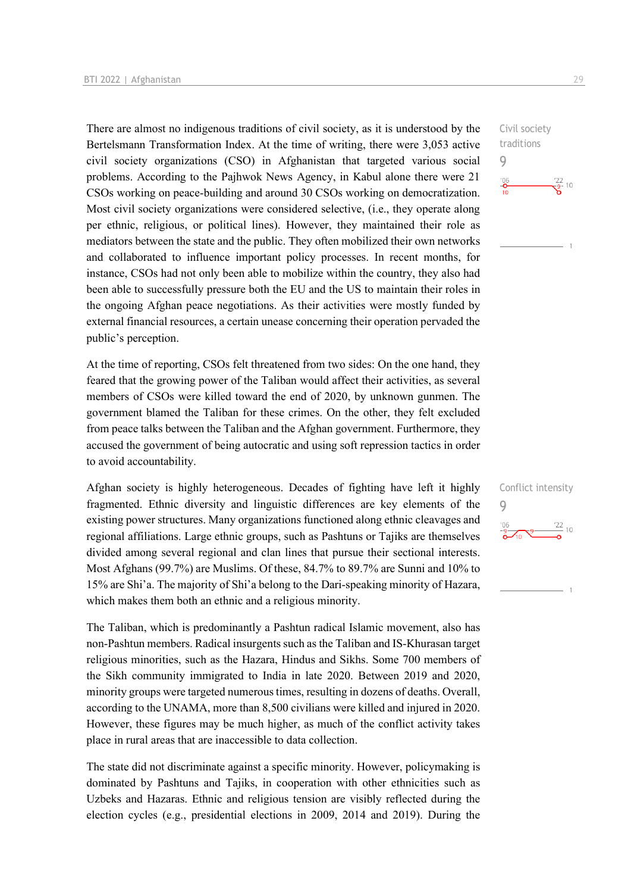There are almost no indigenous traditions of civil society, as it is understood by the Bertelsmann Transformation Index. At the time of writing, there were 3,053 active civil society organizations (CSO) in Afghanistan that targeted various social problems. According to the Pajhwok News Agency, in Kabul alone there were 21 CSOs working on peace-building and around 30 CSOs working on democratization. Most civil society organizations were considered selective, (i.e., they operate along per ethnic, religious, or political lines). However, they maintained their role as mediators between the state and the public. They often mobilized their own networks and collaborated to influence important policy processes. In recent months, for instance, CSOs had not only been able to mobilize within the country, they also had been able to successfully pressure both the EU and the US to maintain their roles in the ongoing Afghan peace negotiations. As their activities were mostly funded by external financial resources, a certain unease concerning their operation pervaded the public's perception.

At the time of reporting, CSOs felt threatened from two sides: On the one hand, they feared that the growing power of the Taliban would affect their activities, as several members of CSOs were killed toward the end of 2020, by unknown gunmen. The government blamed the Taliban for these crimes. On the other, they felt excluded from peace talks between the Taliban and the Afghan government. Furthermore, they accused the government of being autocratic and using soft repression tactics in order to avoid accountability.

Afghan society is highly heterogeneous. Decades of fighting have left it highly fragmented. Ethnic diversity and linguistic differences are key elements of the existing power structures. Many organizations functioned along ethnic cleavages and regional affiliations. Large ethnic groups, such as Pashtuns or Tajiks are themselves divided among several regional and clan lines that pursue their sectional interests. Most Afghans (99.7%) are Muslims. Of these, 84.7% to 89.7% are Sunni and 10% to 15% are Shi'a. The majority of Shi'a belong to the Dari-speaking minority of Hazara, which makes them both an ethnic and a religious minority.

The Taliban, which is predominantly a Pashtun radical Islamic movement, also has non-Pashtun members. Radical insurgents such as the Taliban and IS-Khurasan target religious minorities, such as the Hazara, Hindus and Sikhs. Some 700 members of the Sikh community immigrated to India in late 2020. Between 2019 and 2020, minority groups were targeted numerous times, resulting in dozens of deaths. Overall, according to the UNAMA, more than 8,500 civilians were killed and injured in 2020. However, these figures may be much higher, as much of the conflict activity takes place in rural areas that are inaccessible to data collection.

The state did not discriminate against a specific minority. However, policymaking is dominated by Pashtuns and Tajiks, in cooperation with other ethnicities such as Uzbeks and Hazaras. Ethnic and religious tension are visibly reflected during the election cycles (e.g., presidential elections in 2009, 2014 and 2019). During the Civil society traditions 9  $\frac{106}{10}$  $\frac{22}{9}$  10

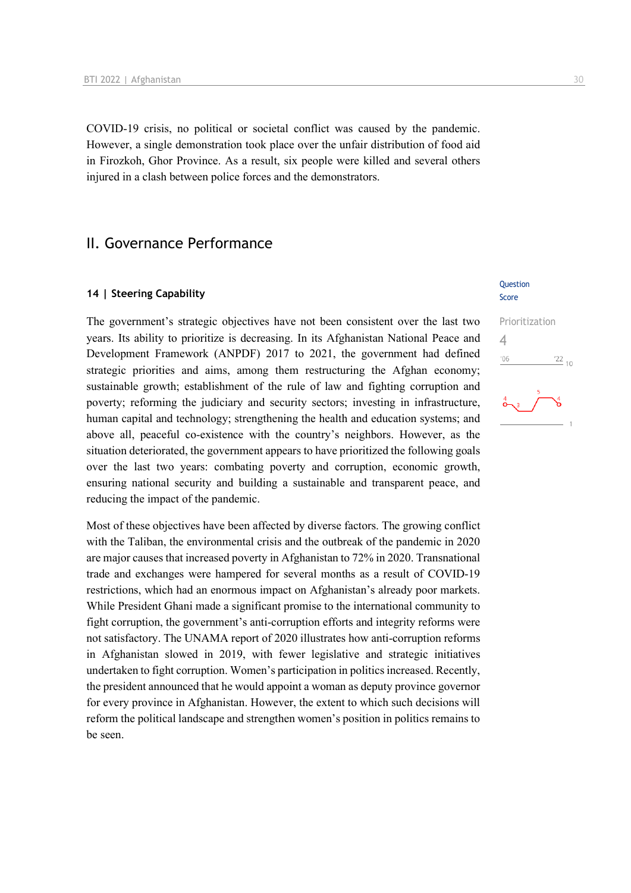COVID-19 crisis, no political or societal conflict was caused by the pandemic. However, a single demonstration took place over the unfair distribution of food aid in Firozkoh, Ghor Province. As a result, six people were killed and several others injured in a clash between police forces and the demonstrators.

# II. Governance Performance

### **14 | Steering Capability**

The government's strategic objectives have not been consistent over the last two years. Its ability to prioritize is decreasing. In its Afghanistan National Peace and Development Framework (ANPDF) 2017 to 2021, the government had defined strategic priorities and aims, among them restructuring the Afghan economy; sustainable growth; establishment of the rule of law and fighting corruption and poverty; reforming the judiciary and security sectors; investing in infrastructure, human capital and technology; strengthening the health and education systems; and above all, peaceful co-existence with the country's neighbors. However, as the situation deteriorated, the government appears to have prioritized the following goals over the last two years: combating poverty and corruption, economic growth, ensuring national security and building a sustainable and transparent peace, and reducing the impact of the pandemic.

Most of these objectives have been affected by diverse factors. The growing conflict with the Taliban, the environmental crisis and the outbreak of the pandemic in 2020 are major causes that increased poverty in Afghanistan to 72% in 2020. Transnational trade and exchanges were hampered for several months as a result of COVID-19 restrictions, which had an enormous impact on Afghanistan's already poor markets. While President Ghani made a significant promise to the international community to fight corruption, the government's anti-corruption efforts and integrity reforms were not satisfactory. The UNAMA report of 2020 illustrates how anti-corruption reforms in Afghanistan slowed in 2019, with fewer legislative and strategic initiatives undertaken to fight corruption. Women's participation in politics increased. Recently, the president announced that he would appoint a woman as deputy province governor for every province in Afghanistan. However, the extent to which such decisions will reform the political landscape and strengthen women's position in politics remains to be seen.

### **Ouestion** Score

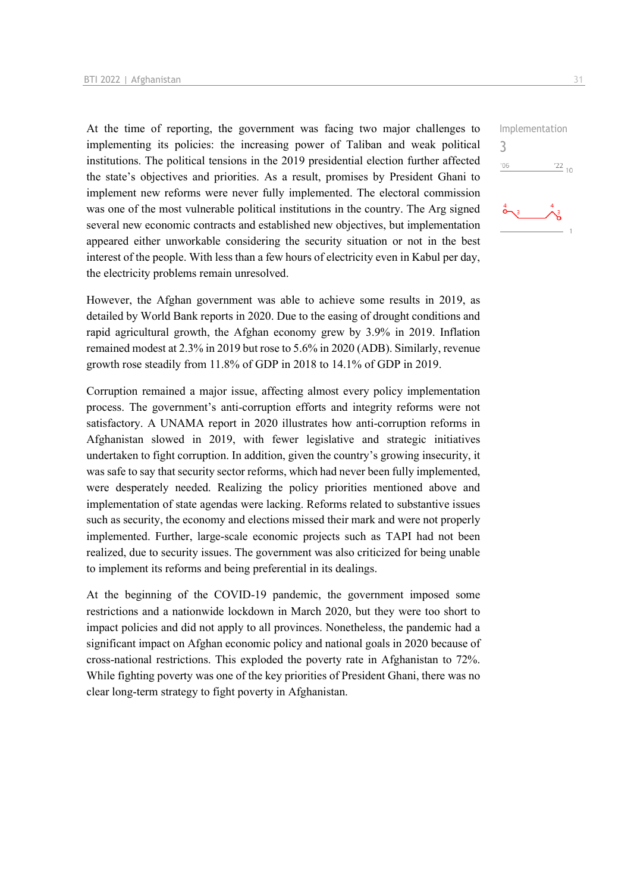At the time of reporting, the government was facing two major challenges to implementing its policies: the increasing power of Taliban and weak political institutions. The political tensions in the 2019 presidential election further affected the state's objectives and priorities. As a result, promises by President Ghani to implement new reforms were never fully implemented. The electoral commission was one of the most vulnerable political institutions in the country. The Arg signed several new economic contracts and established new objectives, but implementation appeared either unworkable considering the security situation or not in the best interest of the people. With less than a few hours of electricity even in Kabul per day, the electricity problems remain unresolved.

However, the Afghan government was able to achieve some results in 2019, as detailed by World Bank reports in 2020. Due to the easing of drought conditions and rapid agricultural growth, the Afghan economy grew by 3.9% in 2019. Inflation remained modest at 2.3% in 2019 but rose to 5.6% in 2020 (ADB). Similarly, revenue growth rose steadily from 11.8% of GDP in 2018 to 14.1% of GDP in 2019.

Corruption remained a major issue, affecting almost every policy implementation process. The government's anti-corruption efforts and integrity reforms were not satisfactory. A UNAMA report in 2020 illustrates how anti-corruption reforms in Afghanistan slowed in 2019, with fewer legislative and strategic initiatives undertaken to fight corruption. In addition, given the country's growing insecurity, it was safe to say that security sector reforms, which had never been fully implemented, were desperately needed. Realizing the policy priorities mentioned above and implementation of state agendas were lacking. Reforms related to substantive issues such as security, the economy and elections missed their mark and were not properly implemented. Further, large-scale economic projects such as TAPI had not been realized, due to security issues. The government was also criticized for being unable to implement its reforms and being preferential in its dealings.

At the beginning of the COVID-19 pandemic, the government imposed some restrictions and a nationwide lockdown in March 2020, but they were too short to impact policies and did not apply to all provinces. Nonetheless, the pandemic had a significant impact on Afghan economic policy and national goals in 2020 because of cross-national restrictions. This exploded the poverty rate in Afghanistan to 72%. While fighting poverty was one of the key priorities of President Ghani, there was no clear long-term strategy to fight poverty in Afghanistan.

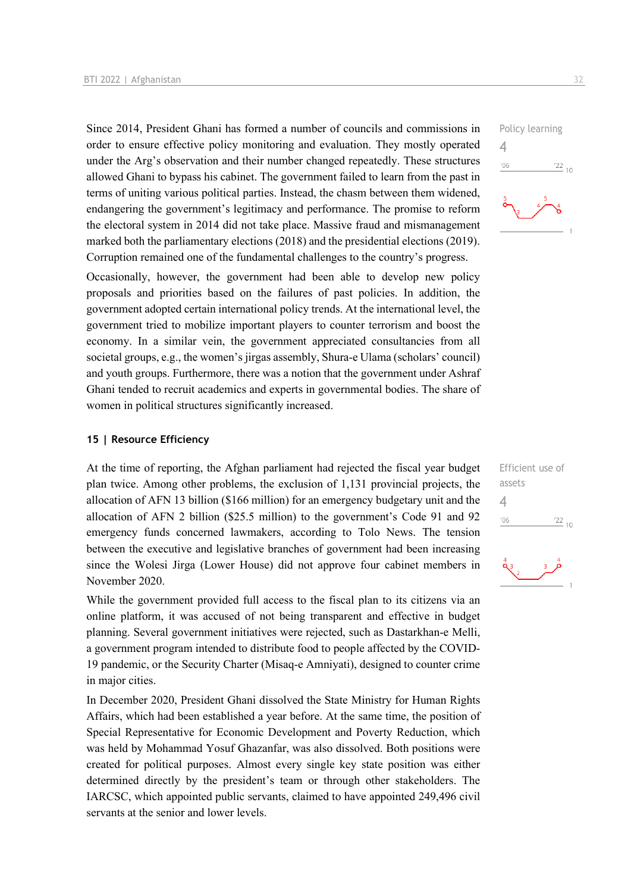Since 2014, President Ghani has formed a number of councils and commissions in order to ensure effective policy monitoring and evaluation. They mostly operated under the Arg's observation and their number changed repeatedly. These structures allowed Ghani to bypass his cabinet. The government failed to learn from the past in terms of uniting various political parties. Instead, the chasm between them widened, endangering the government's legitimacy and performance. The promise to reform the electoral system in 2014 did not take place. Massive fraud and mismanagement marked both the parliamentary elections (2018) and the presidential elections (2019). Corruption remained one of the fundamental challenges to the country's progress.

Occasionally, however, the government had been able to develop new policy proposals and priorities based on the failures of past policies. In addition, the government adopted certain international policy trends. At the international level, the government tried to mobilize important players to counter terrorism and boost the economy. In a similar vein, the government appreciated consultancies from all societal groups, e.g., the women's jirgas assembly, Shura-e Ulama (scholars' council) and youth groups. Furthermore, there was a notion that the government under Ashraf Ghani tended to recruit academics and experts in governmental bodies. The share of women in political structures significantly increased.

### **15 | Resource Efficiency**

At the time of reporting, the Afghan parliament had rejected the fiscal year budget plan twice. Among other problems, the exclusion of 1,131 provincial projects, the allocation of AFN 13 billion (\$166 million) for an emergency budgetary unit and the allocation of AFN 2 billion (\$25.5 million) to the government's Code 91 and 92 emergency funds concerned lawmakers, according to Tolo News. The tension between the executive and legislative branches of government had been increasing since the Wolesi Jirga (Lower House) did not approve four cabinet members in November 2020.

While the government provided full access to the fiscal plan to its citizens via an online platform, it was accused of not being transparent and effective in budget planning. Several government initiatives were rejected, such as Dastarkhan-e Melli, a government program intended to distribute food to people affected by the COVID-19 pandemic, or the Security Charter (Misaq-e Amniyati), designed to counter crime in major cities.

In December 2020, President Ghani dissolved the State Ministry for Human Rights Affairs, which had been established a year before. At the same time, the position of Special Representative for Economic Development and Poverty Reduction, which was held by Mohammad Yosuf Ghazanfar, was also dissolved. Both positions were created for political purposes. Almost every single key state position was either determined directly by the president's team or through other stakeholders. The IARCSC, which appointed public servants, claimed to have appointed 249,496 civil servants at the senior and lower levels.



| Efficient use of            |                 |
|-----------------------------|-----------------|
| assets                      |                 |
|                             |                 |
| 106                         | $\frac{22}{10}$ |
|                             |                 |
| $\overset{4}{\mathbf{Q}}$ 3 |                 |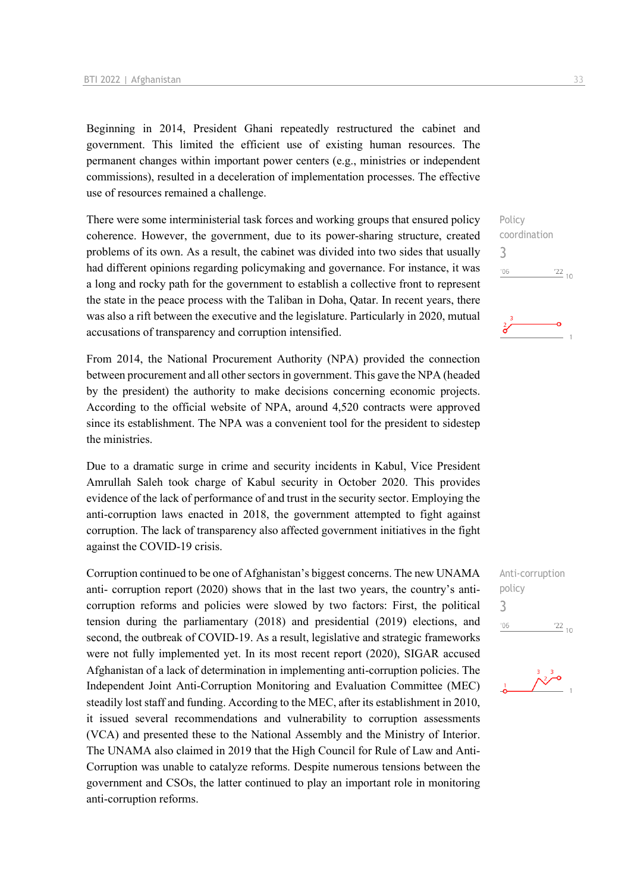Beginning in 2014, President Ghani repeatedly restructured the cabinet and government. This limited the efficient use of existing human resources. The permanent changes within important power centers (e.g., ministries or independent commissions), resulted in a deceleration of implementation processes. The effective use of resources remained a challenge.

There were some interministerial task forces and working groups that ensured policy coherence. However, the government, due to its power-sharing structure, created problems of its own. As a result, the cabinet was divided into two sides that usually had different opinions regarding policymaking and governance. For instance, it was a long and rocky path for the government to establish a collective front to represent the state in the peace process with the Taliban in Doha, Qatar. In recent years, there was also a rift between the executive and the legislature. Particularly in 2020, mutual accusations of transparency and corruption intensified.

From 2014, the National Procurement Authority (NPA) provided the connection between procurement and all other sectors in government. This gave the NPA (headed by the president) the authority to make decisions concerning economic projects. According to the official website of NPA, around 4,520 contracts were approved since its establishment. The NPA was a convenient tool for the president to sidestep the ministries.

Due to a dramatic surge in crime and security incidents in Kabul, Vice President Amrullah Saleh took charge of Kabul security in October 2020. This provides evidence of the lack of performance of and trust in the security sector. Employing the anti-corruption laws enacted in 2018, the government attempted to fight against corruption. The lack of transparency also affected government initiatives in the fight against the COVID-19 crisis.

Corruption continued to be one of Afghanistan's biggest concerns. The new UNAMA anti- corruption report (2020) shows that in the last two years, the country's anticorruption reforms and policies were slowed by two factors: First, the political tension during the parliamentary (2018) and presidential (2019) elections, and second, the outbreak of COVID-19. As a result, legislative and strategic frameworks were not fully implemented yet. In its most recent report (2020), SIGAR accused Afghanistan of a lack of determination in implementing anti-corruption policies. The Independent Joint Anti-Corruption Monitoring and Evaluation Committee (MEC) steadily lost staff and funding. According to the MEC, after its establishment in 2010, it issued several recommendations and vulnerability to corruption assessments (VCA) and presented these to the National Assembly and the Ministry of Interior. The UNAMA also claimed in 2019 that the High Council for Rule of Law and Anti-Corruption was unable to catalyze reforms. Despite numerous tensions between the government and CSOs, the latter continued to play an important role in monitoring anti-corruption reforms.

Policy coordination 3  $\frac{22}{10}$  $'06$ 



Anti-corruption policy 3 $'06$  $\frac{22}{10}$ 

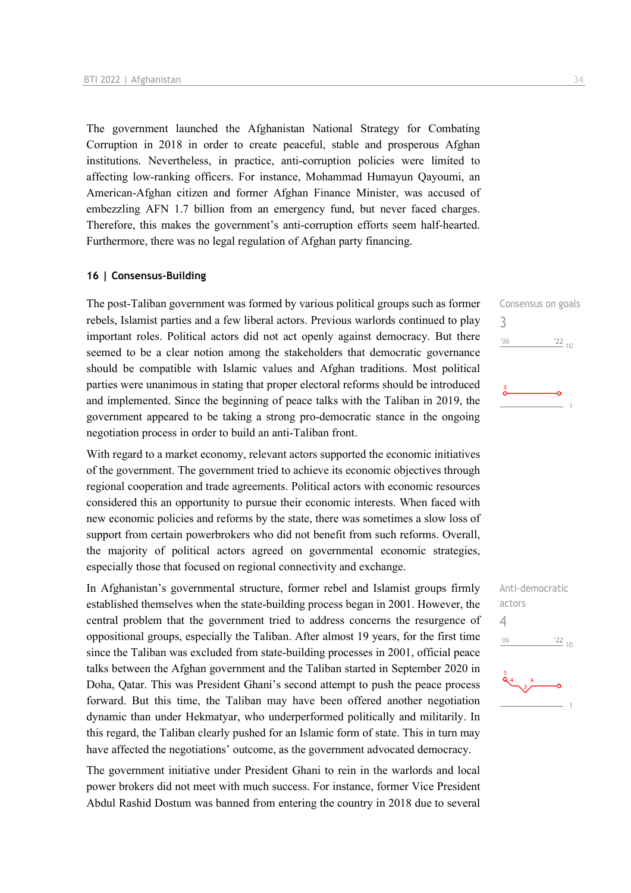The government launched the Afghanistan National Strategy for Combating Corruption in 2018 in order to create peaceful, stable and prosperous Afghan institutions. Nevertheless, in practice, anti-corruption policies were limited to affecting low-ranking officers. For instance, Mohammad Humayun Qayoumi, an American-Afghan citizen and former Afghan Finance Minister, was accused of embezzling AFN 1.7 billion from an emergency fund, but never faced charges. Therefore, this makes the government's anti-corruption efforts seem half-hearted. Furthermore, there was no legal regulation of Afghan party financing.

### **16 | Consensus-Building**

The post-Taliban government was formed by various political groups such as former rebels, Islamist parties and a few liberal actors. Previous warlords continued to play important roles. Political actors did not act openly against democracy. But there seemed to be a clear notion among the stakeholders that democratic governance should be compatible with Islamic values and Afghan traditions. Most political parties were unanimous in stating that proper electoral reforms should be introduced and implemented. Since the beginning of peace talks with the Taliban in 2019, the government appeared to be taking a strong pro-democratic stance in the ongoing negotiation process in order to build an anti-Taliban front.

With regard to a market economy, relevant actors supported the economic initiatives of the government. The government tried to achieve its economic objectives through regional cooperation and trade agreements. Political actors with economic resources considered this an opportunity to pursue their economic interests. When faced with new economic policies and reforms by the state, there was sometimes a slow loss of support from certain powerbrokers who did not benefit from such reforms. Overall, the majority of political actors agreed on governmental economic strategies, especially those that focused on regional connectivity and exchange.

In Afghanistan's governmental structure, former rebel and Islamist groups firmly established themselves when the state-building process began in 2001. However, the central problem that the government tried to address concerns the resurgence of oppositional groups, especially the Taliban. After almost 19 years, for the first time since the Taliban was excluded from state-building processes in 2001, official peace talks between the Afghan government and the Taliban started in September 2020 in Doha, Qatar. This was President Ghani's second attempt to push the peace process forward. But this time, the Taliban may have been offered another negotiation dynamic than under Hekmatyar, who underperformed politically and militarily. In this regard, the Taliban clearly pushed for an Islamic form of state. This in turn may have affected the negotiations' outcome, as the government advocated democracy.

The government initiative under President Ghani to rein in the warlords and local power brokers did not meet with much success. For instance, former Vice President Abdul Rashid Dostum was banned from entering the country in 2018 due to several

Consensus on goals 3  $'06$  $\frac{22}{10}$ 

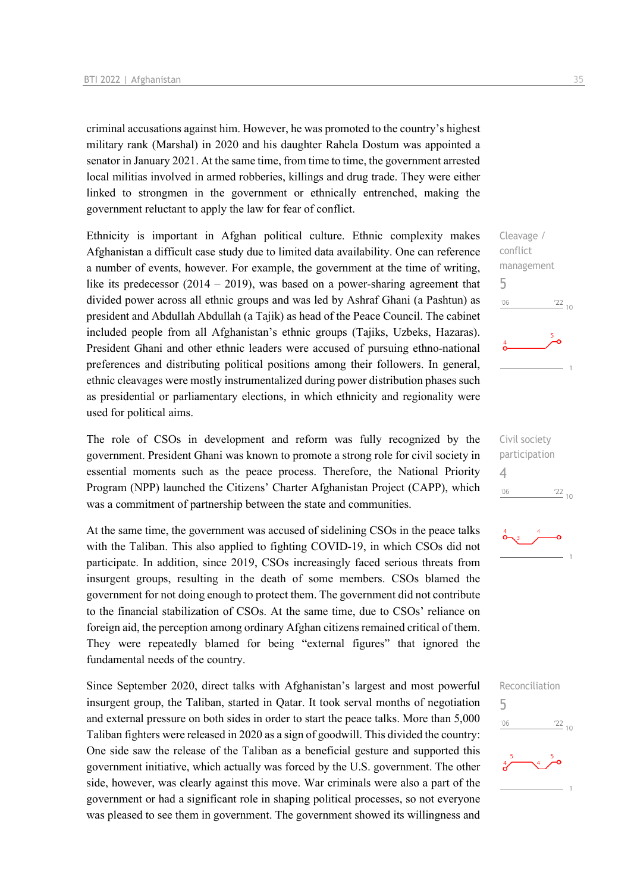criminal accusations against him. However, he was promoted to the country's highest military rank (Marshal) in 2020 and his daughter Rahela Dostum was appointed a senator in January 2021. At the same time, from time to time, the government arrested local militias involved in armed robberies, killings and drug trade. They were either linked to strongmen in the government or ethnically entrenched, making the government reluctant to apply the law for fear of conflict.

Ethnicity is important in Afghan political culture. Ethnic complexity makes Afghanistan a difficult case study due to limited data availability. One can reference a number of events, however. For example, the government at the time of writing, like its predecessor (2014 – 2019), was based on a power-sharing agreement that divided power across all ethnic groups and was led by Ashraf Ghani (a Pashtun) as president and Abdullah Abdullah (a Tajik) as head of the Peace Council. The cabinet included people from all Afghanistan's ethnic groups (Tajiks, Uzbeks, Hazaras). President Ghani and other ethnic leaders were accused of pursuing ethno-national preferences and distributing political positions among their followers. In general, ethnic cleavages were mostly instrumentalized during power distribution phases such as presidential or parliamentary elections, in which ethnicity and regionality were used for political aims.

The role of CSOs in development and reform was fully recognized by the government. President Ghani was known to promote a strong role for civil society in essential moments such as the peace process. Therefore, the National Priority Program (NPP) launched the Citizens' Charter Afghanistan Project (CAPP), which was a commitment of partnership between the state and communities.

At the same time, the government was accused of sidelining CSOs in the peace talks with the Taliban. This also applied to fighting COVID-19, in which CSOs did not participate. In addition, since 2019, CSOs increasingly faced serious threats from insurgent groups, resulting in the death of some members. CSOs blamed the government for not doing enough to protect them. The government did not contribute to the financial stabilization of CSOs. At the same time, due to CSOs' reliance on foreign aid, the perception among ordinary Afghan citizens remained critical of them. They were repeatedly blamed for being "external figures" that ignored the fundamental needs of the country.

Since September 2020, direct talks with Afghanistan's largest and most powerful insurgent group, the Taliban, started in Qatar. It took serval months of negotiation and external pressure on both sides in order to start the peace talks. More than 5,000 Taliban fighters were released in 2020 as a sign of goodwill. This divided the country: One side saw the release of the Taliban as a beneficial gesture and supported this government initiative, which actually was forced by the U.S. government. The other side, however, was clearly against this move. War criminals were also a part of the government or had a significant role in shaping political processes, so not everyone was pleased to see them in government. The government showed its willingness and







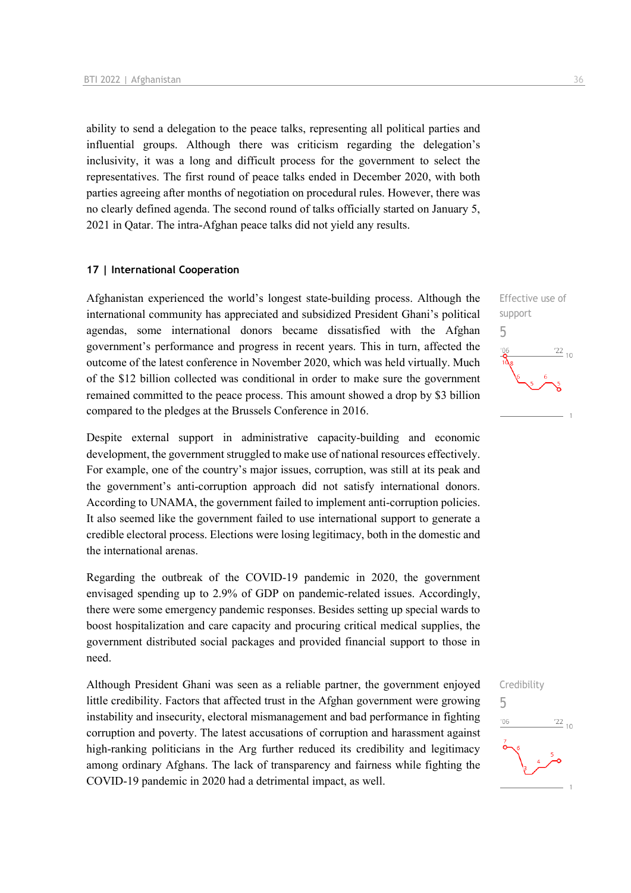ability to send a delegation to the peace talks, representing all political parties and influential groups. Although there was criticism regarding the delegation's inclusivity, it was a long and difficult process for the government to select the representatives. The first round of peace talks ended in December 2020, with both parties agreeing after months of negotiation on procedural rules. However, there was no clearly defined agenda. The second round of talks officially started on January 5, 2021 in Qatar. The intra-Afghan peace talks did not yield any results.

### **17 | International Cooperation**

Afghanistan experienced the world's longest state-building process. Although the international community has appreciated and subsidized President Ghani's political agendas, some international donors became dissatisfied with the Afghan government's performance and progress in recent years. This in turn, affected the outcome of the latest conference in November 2020, which was held virtually. Much of the \$12 billion collected was conditional in order to make sure the government remained committed to the peace process. This amount showed a drop by \$3 billion compared to the pledges at the Brussels Conference in 2016.

Despite external support in administrative capacity-building and economic development, the government struggled to make use of national resources effectively. For example, one of the country's major issues, corruption, was still at its peak and the government's anti-corruption approach did not satisfy international donors. According to UNAMA, the government failed to implement anti-corruption policies. It also seemed like the government failed to use international support to generate a credible electoral process. Elections were losing legitimacy, both in the domestic and the international arenas.

Regarding the outbreak of the COVID-19 pandemic in 2020, the government envisaged spending up to 2.9% of GDP on pandemic-related issues. Accordingly, there were some emergency pandemic responses. Besides setting up special wards to boost hospitalization and care capacity and procuring critical medical supplies, the government distributed social packages and provided financial support to those in need.

Although President Ghani was seen as a reliable partner, the government enjoyed little credibility. Factors that affected trust in the Afghan government were growing instability and insecurity, electoral mismanagement and bad performance in fighting corruption and poverty. The latest accusations of corruption and harassment against high-ranking politicians in the Arg further reduced its credibility and legitimacy among ordinary Afghans. The lack of transparency and fairness while fighting the COVID-19 pandemic in 2020 had a detrimental impact, as well.



Credibility

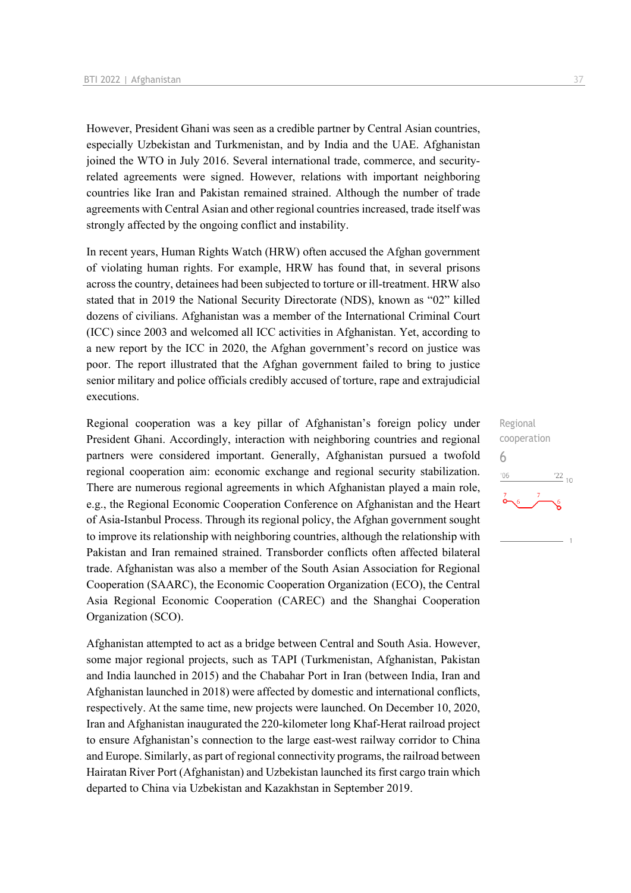However, President Ghani was seen as a credible partner by Central Asian countries, especially Uzbekistan and Turkmenistan, and by India and the UAE. Afghanistan joined the WTO in July 2016. Several international trade, commerce, and securityrelated agreements were signed. However, relations with important neighboring countries like Iran and Pakistan remained strained. Although the number of trade agreements with Central Asian and other regional countries increased, trade itself was strongly affected by the ongoing conflict and instability.

In recent years, Human Rights Watch (HRW) often accused the Afghan government of violating human rights. For example, HRW has found that, in several prisons across the country, detainees had been subjected to torture or ill-treatment. HRW also stated that in 2019 the National Security Directorate (NDS), known as "02" killed dozens of civilians. Afghanistan was a member of the International Criminal Court (ICC) since 2003 and welcomed all ICC activities in Afghanistan. Yet, according to a new report by the ICC in 2020, the Afghan government's record on justice was poor. The report illustrated that the Afghan government failed to bring to justice senior military and police officials credibly accused of torture, rape and extrajudicial executions.

Regional cooperation was a key pillar of Afghanistan's foreign policy under President Ghani. Accordingly, interaction with neighboring countries and regional partners were considered important. Generally, Afghanistan pursued a twofold regional cooperation aim: economic exchange and regional security stabilization. There are numerous regional agreements in which Afghanistan played a main role, e.g., the Regional Economic Cooperation Conference on Afghanistan and the Heart of Asia-Istanbul Process. Through its regional policy, the Afghan government sought to improve its relationship with neighboring countries, although the relationship with Pakistan and Iran remained strained. Transborder conflicts often affected bilateral trade. Afghanistan was also a member of the South Asian Association for Regional Cooperation (SAARC), the Economic Cooperation Organization (ECO), the Central Asia Regional Economic Cooperation (CAREC) and the Shanghai Cooperation Organization (SCO).

Afghanistan attempted to act as a bridge between Central and South Asia. However, some major regional projects, such as TAPI (Turkmenistan, Afghanistan, Pakistan and India launched in 2015) and the Chabahar Port in Iran (between India, Iran and Afghanistan launched in 2018) were affected by domestic and international conflicts, respectively. At the same time, new projects were launched. On December 10, 2020, Iran and Afghanistan inaugurated the 220-kilometer long Khaf-Herat railroad project to ensure Afghanistan's connection to the large east-west railway corridor to China and Europe. Similarly, as part of regional connectivity programs, the railroad between Hairatan River Port (Afghanistan) and Uzbekistan launched its first cargo train which departed to China via Uzbekistan and Kazakhstan in September 2019.